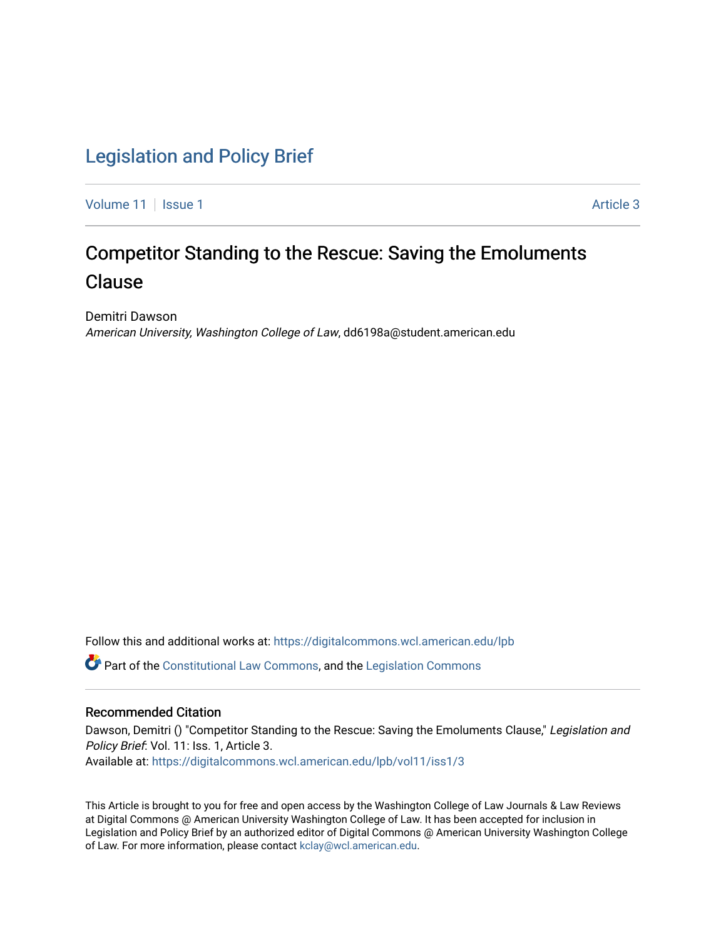### [Legislation and Policy Brief](https://digitalcommons.wcl.american.edu/lpb)

[Volume 11](https://digitalcommons.wcl.american.edu/lpb/vol11) | [Issue 1](https://digitalcommons.wcl.american.edu/lpb/vol11/iss1) Article 3

## Competitor Standing to the Rescue: Saving the Emoluments Clause

Demitri Dawson American University, Washington College of Law, dd6198a@student.american.edu

Follow this and additional works at: [https://digitalcommons.wcl.american.edu/lpb](https://digitalcommons.wcl.american.edu/lpb?utm_source=digitalcommons.wcl.american.edu%2Flpb%2Fvol11%2Fiss1%2F3&utm_medium=PDF&utm_campaign=PDFCoverPages) 

Part of the [Constitutional Law Commons,](https://network.bepress.com/hgg/discipline/589?utm_source=digitalcommons.wcl.american.edu%2Flpb%2Fvol11%2Fiss1%2F3&utm_medium=PDF&utm_campaign=PDFCoverPages) and the [Legislation Commons](https://network.bepress.com/hgg/discipline/859?utm_source=digitalcommons.wcl.american.edu%2Flpb%2Fvol11%2Fiss1%2F3&utm_medium=PDF&utm_campaign=PDFCoverPages) 

#### Recommended Citation

Dawson, Demitri () "Competitor Standing to the Rescue: Saving the Emoluments Clause," Legislation and Policy Brief: Vol. 11: Iss. 1, Article 3. Available at: [https://digitalcommons.wcl.american.edu/lpb/vol11/iss1/3](https://digitalcommons.wcl.american.edu/lpb/vol11/iss1/3?utm_source=digitalcommons.wcl.american.edu%2Flpb%2Fvol11%2Fiss1%2F3&utm_medium=PDF&utm_campaign=PDFCoverPages) 

This Article is brought to you for free and open access by the Washington College of Law Journals & Law Reviews at Digital Commons @ American University Washington College of Law. It has been accepted for inclusion in Legislation and Policy Brief by an authorized editor of Digital Commons @ American University Washington College of Law. For more information, please contact [kclay@wcl.american.edu.](mailto:kclay@wcl.american.edu)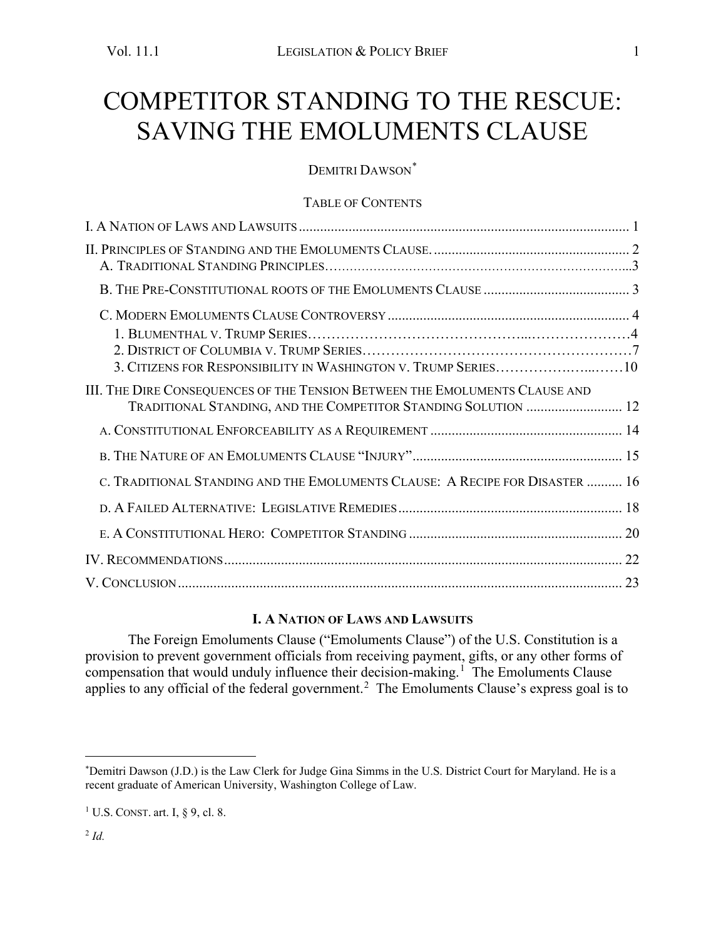# <span id="page-1-0"></span>COMPETITOR STANDING TO THE RESCUE: SAVING THE EMOLUMENTS CLAUSE

DEMITRI DAWSON<sup>[\\*](#page-1-1)</sup>

#### TABLE OF CONTENTS

| 3. CITIZENS FOR RESPONSIBILITY IN WASHINGTON V. TRUMP SERIES10                                                                                |
|-----------------------------------------------------------------------------------------------------------------------------------------------|
| III. THE DIRE CONSEQUENCES OF THE TENSION BETWEEN THE EMOLUMENTS CLAUSE AND<br>TRADITIONAL STANDING, AND THE COMPETITOR STANDING SOLUTION  12 |
|                                                                                                                                               |
|                                                                                                                                               |
| C. TRADITIONAL STANDING AND THE EMOLUMENTS CLAUSE: A RECIPE FOR DISASTER  16                                                                  |
|                                                                                                                                               |
|                                                                                                                                               |
|                                                                                                                                               |
|                                                                                                                                               |

#### **I. A NATION OF LAWS AND LAWSUITS**

The Foreign Emoluments Clause ("Emoluments Clause") of the U.S. Constitution is a provision to prevent government officials from receiving payment, gifts, or any other forms of compensation that would unduly influence their decision-making.<sup>[1](#page-1-2)</sup> The Emoluments Clause applies to any official of the federal government.<sup>[2](#page-1-3)</sup> The Emoluments Clause's express goal is to

<span id="page-1-1"></span><sup>\*</sup> Demitri Dawson (J.D.) is the Law Clerk for Judge Gina Simms in the U.S. District Court for Maryland. He is a recent graduate of American University, Washington College of Law.

<span id="page-1-3"></span><span id="page-1-2"></span><sup>&</sup>lt;sup>1</sup> U.S. CONST. art. I,  $\S$  9, cl. 8.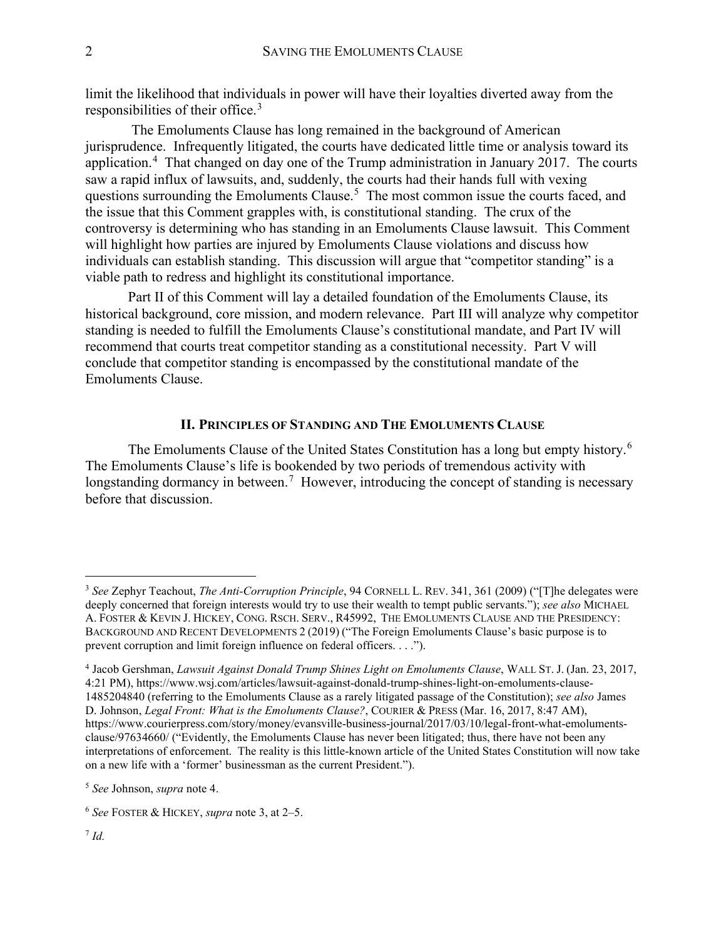<span id="page-2-6"></span>limit the likelihood that individuals in power will have their loyalties diverted away from the responsibilities of their office.<sup>[3](#page-2-1)</sup>

The Emoluments Clause has long remained in the background of American jurisprudence. Infrequently litigated, the courts have dedicated little time or analysis toward its application.<sup>[4](#page-2-2)</sup> That changed on day one of the Trump administration in January 2017. The courts saw a rapid influx of lawsuits, and, suddenly, the courts had their hands full with vexing questions surrounding the Emoluments Clause.<sup>[5](#page-2-3)</sup> The most common issue the courts faced, and the issue that this Comment grapples with, is constitutional standing. The crux of the controversy is determining who has standing in an Emoluments Clause lawsuit. This Comment will highlight how parties are injured by Emoluments Clause violations and discuss how individuals can establish standing. This discussion will argue that "competitor standing" is a viable path to redress and highlight its constitutional importance.

Part II of this Comment will lay a detailed foundation of the Emoluments Clause, its historical background, core mission, and modern relevance. Part III will analyze why competitor standing is needed to fulfill the Emoluments Clause's constitutional mandate, and Part IV will recommend that courts treat competitor standing as a constitutional necessity. Part V will conclude that competitor standing is encompassed by the constitutional mandate of the Emoluments Clause.

#### **II. PRINCIPLES OF STANDING AND THE EMOLUMENTS CLAUSE**

<span id="page-2-0"></span>The Emoluments Clause of the United States Constitution has a long but empty history.<sup>[6](#page-2-4)</sup> The Emoluments Clause's life is bookended by two periods of tremendous activity with longstanding dormancy in between.<sup>[7](#page-2-5)</sup> However, introducing the concept of standing is necessary before that discussion.

<span id="page-2-1"></span><sup>3</sup> *See* Zephyr Teachout, *The Anti-Corruption Principle*, 94 CORNELL L. REV. 341, 361 (2009) ("[T]he delegates were deeply concerned that foreign interests would try to use their wealth to tempt public servants."); *see also* MICHAEL A. FOSTER & KEVIN J. HICKEY, CONG. RSCH. SERV., R45992, THE EMOLUMENTS CLAUSE AND THE PRESIDENCY: BACKGROUND AND RECENT DEVELOPMENTS 2 (2019) ("The Foreign Emoluments Clause's basic purpose is to prevent corruption and limit foreign influence on federal officers. . . .").

<span id="page-2-2"></span><sup>4</sup> Jacob Gershman, *Lawsuit Against Donald Trump Shines Light on Emoluments Clause*, WALL ST. J. (Jan. 23, 2017, 4:21 PM), https://www.wsj.com/articles/lawsuit-against-donald-trump-shines-light-on-emoluments-clause-1485204840 (referring to the Emoluments Clause as a rarely litigated passage of the Constitution); *see also* James D. Johnson, *Legal Front: What is the Emoluments Clause?*, COURIER & PRESS (Mar. 16, 2017, 8:47 AM), https://www.courierpress.com/story/money/evansville-business-journal/2017/03/10/legal-front-what-emolumentsclause/97634660/ ("Evidently, the Emoluments Clause has never been litigated; thus, there have not been any interpretations of enforcement. The reality is this little-known article of the United States Constitution will now take on a new life with a 'former' businessman as the current President.").

<span id="page-2-3"></span><sup>5</sup> *See* Johnson, *supra* note 4.

<span id="page-2-5"></span><span id="page-2-4"></span><sup>6</sup> *See* FOSTER & HICKEY, *supra* note 3, at 2–5.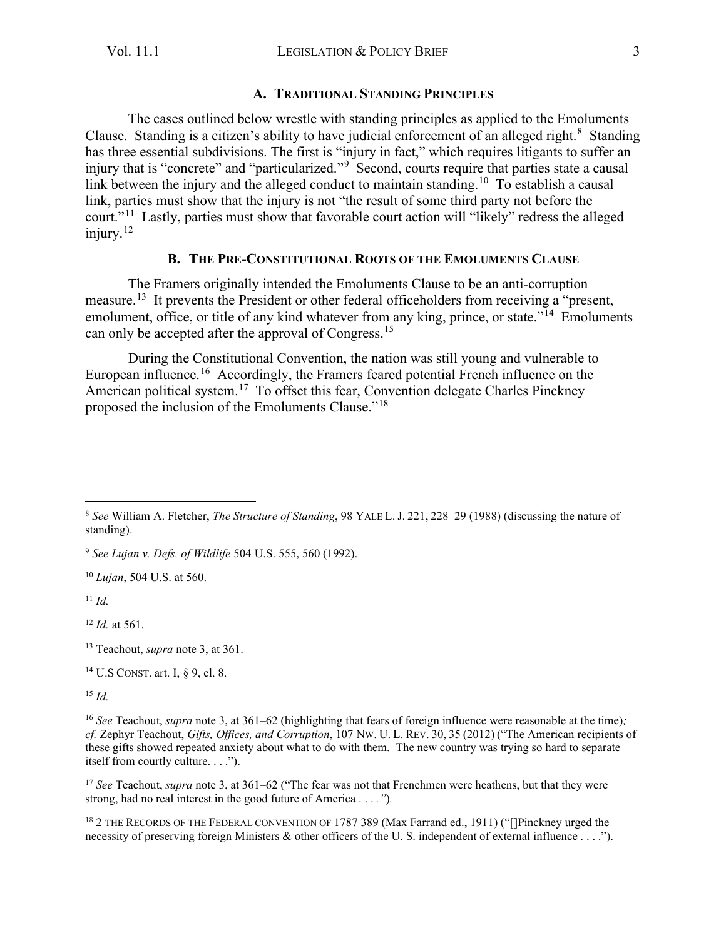#### **A. TRADITIONAL STANDING PRINCIPLES**

The cases outlined below wrestle with standing principles as applied to the Emoluments Clause. Standing is a citizen's ability to have judicial enforcement of an alleged right.<sup>[8](#page-3-1)</sup> Standing has three essential subdivisions. The first is "injury in fact," which requires litigants to suffer an injury that is "concrete" and "particularized."<sup>[9](#page-3-2)</sup> Second, courts require that parties state a causal link between the injury and the alleged conduct to maintain standing.<sup>[10](#page-3-3)</sup> To establish a causal link, parties must show that the injury is not "the result of some third party not before the court."[11](#page-3-4) Lastly, parties must show that favorable court action will "likely" redress the alleged injury. $12$ 

#### **B. THE PRE-CONSTITUTIONAL ROOTS OF THE EMOLUMENTS CLAUSE**

<span id="page-3-0"></span>The Framers originally intended the Emoluments Clause to be an anti-corruption measure.[13](#page-3-6) It prevents the President or other federal officeholders from receiving a "present, emolument, office, or title of any kind whatever from any king, prince, or state."<sup>[14](#page-3-7)</sup> Emoluments can only be accepted after the approval of Congress.<sup>[15](#page-3-8)</sup>

During the Constitutional Convention, the nation was still young and vulnerable to European influence.<sup>[16](#page-3-9)</sup> Accordingly, the Framers feared potential French influence on the American political system.[17](#page-3-10) To offset this fear, Convention delegate Charles Pinckney proposed the inclusion of the Emoluments Clause."[18](#page-3-11) 

<span id="page-3-2"></span><sup>9</sup> *See Lujan v. Defs. of Wildlife* 504 U.S. 555, 560 (1992).

<span id="page-3-3"></span><sup>10</sup> *Lujan*, 504 U.S. at 560.

<span id="page-3-4"></span><sup>11</sup> *Id.*

<span id="page-3-5"></span><sup>12</sup> *Id.* at 561.

<span id="page-3-6"></span><sup>13</sup> Teachout, *supra* note [3,](#page-2-6) at 361.

<span id="page-3-7"></span><sup>14</sup> U.S CONST. art. I, § 9, cl. 8.

<span id="page-3-8"></span><sup>15</sup> *Id.*

<span id="page-3-10"></span><sup>17</sup> *See* Teachout, *supra* note 3, at 361–62 ("The fear was not that Frenchmen were heathens, but that they were strong, had no real interest in the good future of America . . . *."*)*.* 

<span id="page-3-11"></span><sup>18</sup> 2 THE RECORDS OF THE FEDERAL CONVENTION OF 1787 389 (Max Farrand ed., 1911) ("[Pinckney urged the necessity of preserving foreign Ministers & other officers of the U. S. independent of external influence . . . .").

<span id="page-3-1"></span><sup>8</sup> *See* William A. Fletcher, *The Structure of Standing*, 98 YALE L. J. 221, 228–29 (1988) (discussing the nature of standing).

<span id="page-3-9"></span><sup>16</sup> *See* Teachout, *supra* not[e 3,](#page-2-6) at 361–62 (highlighting that fears of foreign influence were reasonable at the time)*; cf.* Zephyr Teachout, *Gifts, Offices, and Corruption*, 107 NW. U. L. REV. 30, 35 (2012) ("The American recipients of these gifts showed repeated anxiety about what to do with them. The new country was trying so hard to separate itself from courtly culture. . . .").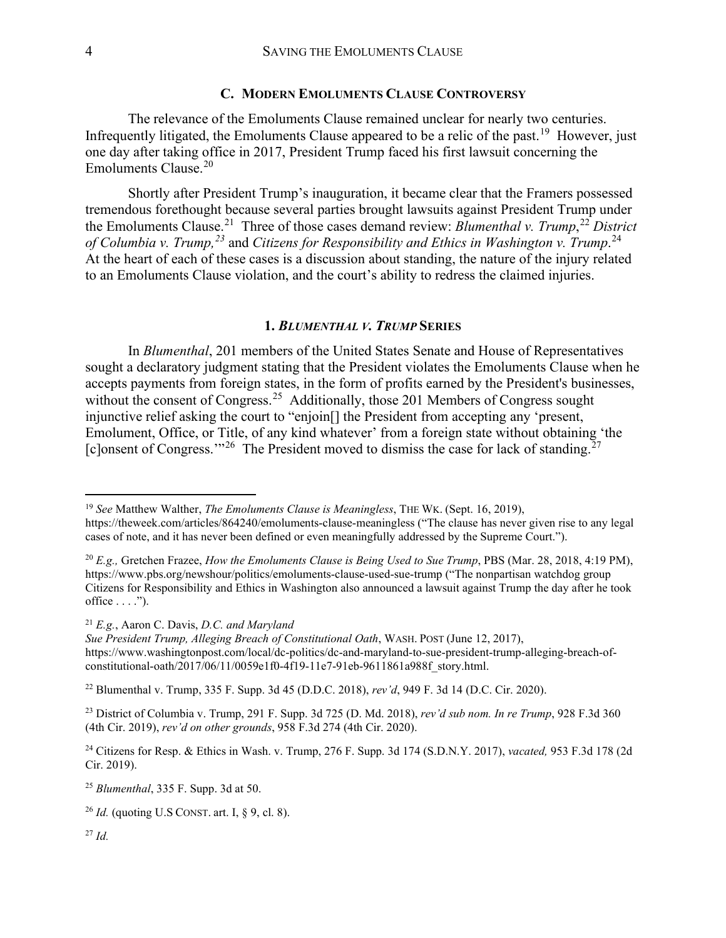#### **C. MODERN EMOLUMENTS CLAUSE CONTROVERSY**

<span id="page-4-0"></span>The relevance of the Emoluments Clause remained unclear for nearly two centuries. Infrequently litigated, the Emoluments Clause appeared to be a relic of the past.<sup>19</sup> However, just one day after taking office in 2017, President Trump faced his first lawsuit concerning the Emoluments Clause.[20](#page-4-2)

Shortly after President Trump's inauguration, it became clear that the Framers possessed tremendous forethought because several parties brought lawsuits against President Trump under the Emoluments Clause.<sup>[21](#page-4-3)</sup> Three of those cases demand review: *Blumenthal v. Trump*<sup>[22](#page-4-4)</sup> District *of Columbia v. Trump,[23](#page-4-5)* and *Citizens for Responsibility and Ethics in Washington v. Trump*. [24](#page-4-6) At the heart of each of these cases is a discussion about standing, the nature of the injury related to an Emoluments Clause violation, and the court's ability to redress the claimed injuries.

#### **1.** *BLUMENTHAL V. TRUMP* **SERIES**

In *Blumenthal*, 201 members of the United States Senate and House of Representatives sought a declaratory judgment stating that the President violates the Emoluments Clause when he accepts payments from foreign states, in the form of profits earned by the President's businesses, without the consent of Congress.<sup>[25](#page-4-7)</sup> Additionally, those 201 Members of Congress sought injunctive relief asking the court to "enjoin[] the President from accepting any 'present, Emolument, Office, or Title, of any kind whatever' from a foreign state without obtaining 'the [c]onsent of Congress."<sup>[26](#page-4-8)</sup> The President moved to dismiss the case for lack of standing.<sup>[27](#page-4-9)</sup>

<span id="page-4-3"></span><sup>21</sup> *E.g.*, Aaron C. Davis, *D.C. and Maryland* 

*Sue President Trump, Alleging Breach of Constitutional Oath*, WASH. POST (June 12, 2017), https://www.washingtonpost.com/local/dc-politics/dc-and-maryland-to-sue-president-trump-alleging-breach-ofconstitutional-oath/2017/06/11/0059e1f0-4f19-11e7-91eb-9611861a988f\_story.html.

<span id="page-4-4"></span><sup>22</sup> Blumenthal v. Trump, 335 F. Supp. 3d 45 (D.D.C. 2018), *rev'd*, 949 F. 3d 14 (D.C. Cir. 2020).

<span id="page-4-5"></span><sup>23</sup> District of Columbia v. Trump, 291 F. Supp. 3d 725 (D. Md. 2018), *rev'd sub nom. In re Trump*, 928 F.3d 360 (4th Cir. 2019), *rev'd on other grounds*, 958 F.3d 274 (4th Cir. 2020).

<span id="page-4-6"></span><sup>24</sup> Citizens for Resp. & Ethics in Wash. v. Trump, 276 F. Supp. 3d 174 (S.D.N.Y. 2017), *vacated,* 953 F.3d 178 (2d Cir. 2019).

<span id="page-4-7"></span><sup>25</sup> *Blumenthal*, 335 F. Supp. 3d at 50.

<span id="page-4-8"></span><sup>26</sup> *Id.* (quoting U.S CONST. art. I, § 9, cl. 8).

<span id="page-4-9"></span> $^{27}$  *Id.* 

<span id="page-4-1"></span><sup>19</sup> *See* Matthew Walther, *The Emoluments Clause is Meaningless*, THE WK. (Sept. 16, 2019), https://theweek.com/articles/864240/emoluments-clause-meaningless ("The clause has never given rise to any legal cases of note, and it has never been defined or even meaningfully addressed by the Supreme Court.").

<span id="page-4-2"></span><sup>20</sup> *E.g.,* Gretchen Frazee, *How the Emoluments Clause is Being Used to Sue Trump*, PBS (Mar. 28, 2018, 4:19 PM), https://www.pbs.org/newshour/politics/emoluments-clause-used-sue-trump ("The nonpartisan watchdog group Citizens for Responsibility and Ethics in Washington also announced a lawsuit against Trump the day after he took office  $\dots$ .").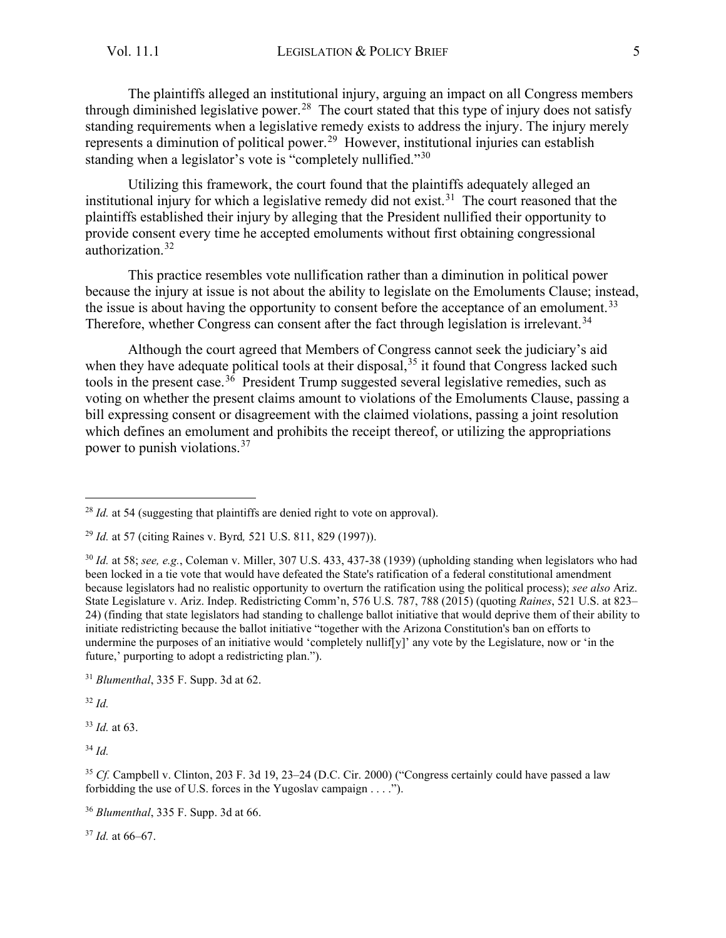The plaintiffs alleged an institutional injury, arguing an impact on all Congress members through diminished legislative power.<sup>28</sup> The court stated that this type of injury does not satisfy standing requirements when a legislative remedy exists to address the injury. The injury merely represents a diminution of political power.<sup>29</sup> However, institutional injuries can establish standing when a legislator's vote is "completely nullified."<sup>[30](#page-5-2)</sup>

Utilizing this framework, the court found that the plaintiffs adequately alleged an institutional injury for which a legislative remedy did not exist.<sup>[31](#page-5-3)</sup> The court reasoned that the plaintiffs established their injury by alleging that the President nullified their opportunity to provide consent every time he accepted emoluments without first obtaining congressional authorization. [32](#page-5-4)

This practice resembles vote nullification rather than a diminution in political power because the injury at issue is not about the ability to legislate on the Emoluments Clause; instead, the issue is about having the opportunity to consent before the acceptance of an emolument.<sup>33</sup> Therefore, whether Congress can consent after the fact through legislation is irrelevant.<sup>[34](#page-5-6)</sup>

Although the court agreed that Members of Congress cannot seek the judiciary's aid when they have adequate political tools at their disposal,  $35$  it found that Congress lacked such tools in the present case.<sup>[36](#page-5-8)</sup> President Trump suggested several legislative remedies, such as voting on whether the present claims amount to violations of the Emoluments Clause, passing a bill expressing consent or disagreement with the claimed violations, passing a joint resolution which defines an emolument and prohibits the receipt thereof, or utilizing the appropriations power to punish violations.<sup>[37](#page-5-9)</sup>

<span id="page-5-4"></span><sup>32</sup> *Id.*

<span id="page-5-5"></span><sup>33</sup> *Id.* at 63.

<span id="page-5-6"></span><sup>34</sup> *Id.*

<span id="page-5-9"></span><sup>37</sup> *Id.* at 66–67.

<span id="page-5-0"></span><sup>&</sup>lt;sup>28</sup> *Id.* at 54 (suggesting that plaintiffs are denied right to vote on approval).

<span id="page-5-1"></span><sup>29</sup> *Id.* at 57 (citing Raines v. Byrd*,* 521 U.S. 811, 829 (1997)).

<span id="page-5-2"></span><sup>30</sup> *Id.* at 58; *see, e.g.*, Coleman v. Miller, 307 U.S. 433, 437-38 (1939) (upholding standing when legislators who had been locked in a tie vote that would have defeated the State's ratification of a federal constitutional amendment because legislators had no realistic opportunity to overturn the ratification using the political process); *see also* Ariz. State Legislature v. Ariz. Indep. Redistricting Comm'n, 576 U.S. 787, 788 (2015) (quoting *Raines*, 521 U.S. at 823– 24) (finding that state legislators had standing to challenge ballot initiative that would deprive them of their ability to initiate redistricting because the ballot initiative "together with the Arizona Constitution's ban on efforts to undermine the purposes of an initiative would 'completely nullif[y]' any vote by the Legislature, now or 'in the future,' purporting to adopt a redistricting plan.").

<span id="page-5-3"></span><sup>31</sup> *Blumenthal*, 335 F. Supp. 3d at 62.

<span id="page-5-7"></span><sup>&</sup>lt;sup>35</sup> *Cf.* Campbell v. Clinton, 203 F. 3d 19, 23–24 (D.C. Cir. 2000) ("Congress certainly could have passed a law forbidding the use of U.S. forces in the Yugoslav campaign  $\dots$ .

<span id="page-5-8"></span><sup>36</sup> *Blumenthal*, 335 F. Supp. 3d at 66.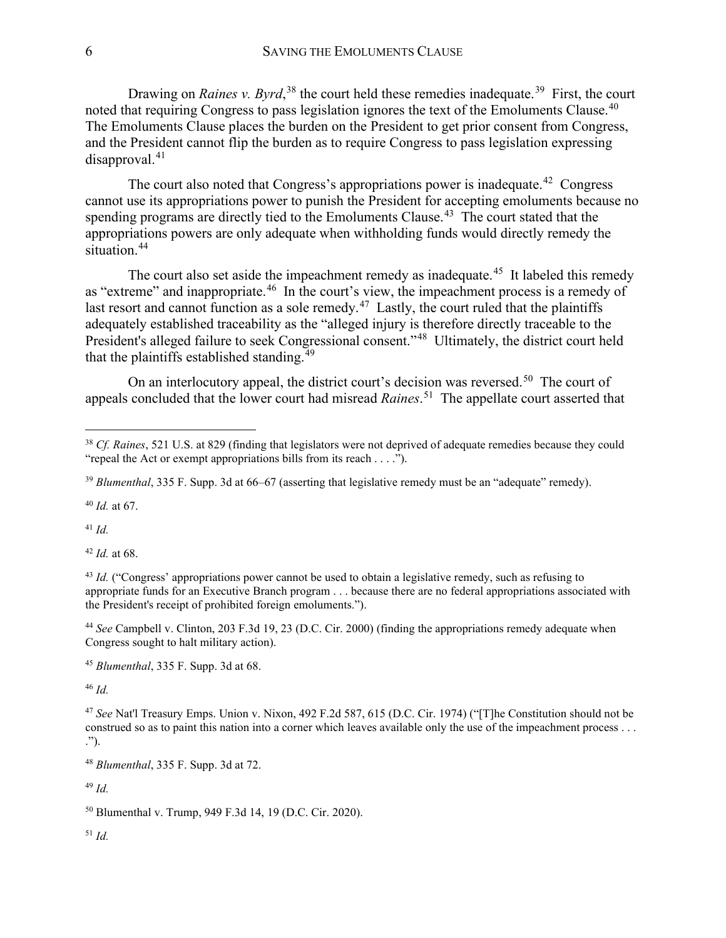Drawing on *Raines v. Byrd*,<sup>[38](#page-6-0)</sup> the court held these remedies inadequate.<sup>39</sup> First, the court noted that requiring Congress to pass legislation ignores the text of the Emoluments Clause.<sup>40</sup> The Emoluments Clause places the burden on the President to get prior consent from Congress, and the President cannot flip the burden as to require Congress to pass legislation expressing  $disapproval.<sup>41</sup>$  $disapproval.<sup>41</sup>$  $disapproval.<sup>41</sup>$ 

The court also noted that Congress's appropriations power is inadequate.<sup>42</sup> Congress cannot use its appropriations power to punish the President for accepting emoluments because no spending programs are directly tied to the Emoluments Clause.<sup>[43](#page-6-5)</sup> The court stated that the appropriations powers are only adequate when withholding funds would directly remedy the situation.<sup>[44](#page-6-6)</sup>

The court also set aside the impeachment remedy as inadequate.<sup>45</sup> It labeled this remedy as "extreme" and inappropriate.<sup>[46](#page-6-8)</sup> In the court's view, the impeachment process is a remedy of last resort and cannot function as a sole remedy.<sup>47</sup> Lastly, the court ruled that the plaintiffs adequately established traceability as the "alleged injury is therefore directly traceable to the President's alleged failure to seek Congressional consent."[48](#page-6-10) Ultimately, the district court held that the plaintiffs established standing.<sup>[49](#page-6-11)</sup>

On an interlocutory appeal, the district court's decision was reversed.<sup>50</sup> The court of appeals concluded that the lower court had misread *Raines*. [51](#page-6-13) The appellate court asserted that

<span id="page-6-2"></span><sup>40</sup> *Id.* at 67.

<span id="page-6-3"></span><sup>41</sup> *Id.*

<span id="page-6-4"></span><sup>42</sup> *Id.* at 68.

<span id="page-6-6"></span><sup>44</sup> *See* Campbell v. Clinton, 203 F.3d 19, 23 (D.C. Cir. 2000) (finding the appropriations remedy adequate when Congress sought to halt military action).

<span id="page-6-7"></span><sup>45</sup> *Blumenthal*, 335 F. Supp. 3d at 68.

<span id="page-6-8"></span><sup>46</sup> *Id.*

<span id="page-6-9"></span><sup>47</sup> *See* Nat'l Treasury Emps. Union v. Nixon, 492 F.2d 587, 615 (D.C. Cir. 1974) ("[T]he Constitution should not be construed so as to paint this nation into a corner which leaves available only the use of the impeachment process . . . .").

<span id="page-6-10"></span><sup>48</sup> *Blumenthal*, 335 F. Supp. 3d at 72.

<span id="page-6-11"></span><sup>49</sup> *Id.*

<span id="page-6-13"></span><span id="page-6-12"></span><sup>50</sup> Blumenthal v. Trump, 949 F.3d 14, 19 (D.C. Cir. 2020).

<span id="page-6-0"></span><sup>38</sup> *Cf. Raines*, 521 U.S. at 829 (finding that legislators were not deprived of adequate remedies because they could "repeal the Act or exempt appropriations bills from its reach . . . .").

<span id="page-6-1"></span><sup>&</sup>lt;sup>39</sup> *Blumenthal*, 335 F. Supp. 3d at 66–67 (asserting that legislative remedy must be an "adequate" remedy).

<span id="page-6-5"></span><sup>&</sup>lt;sup>43</sup> *Id.* ("Congress' appropriations power cannot be used to obtain a legislative remedy, such as refusing to appropriate funds for an Executive Branch program . . . because there are no federal appropriations associated with the President's receipt of prohibited foreign emoluments.").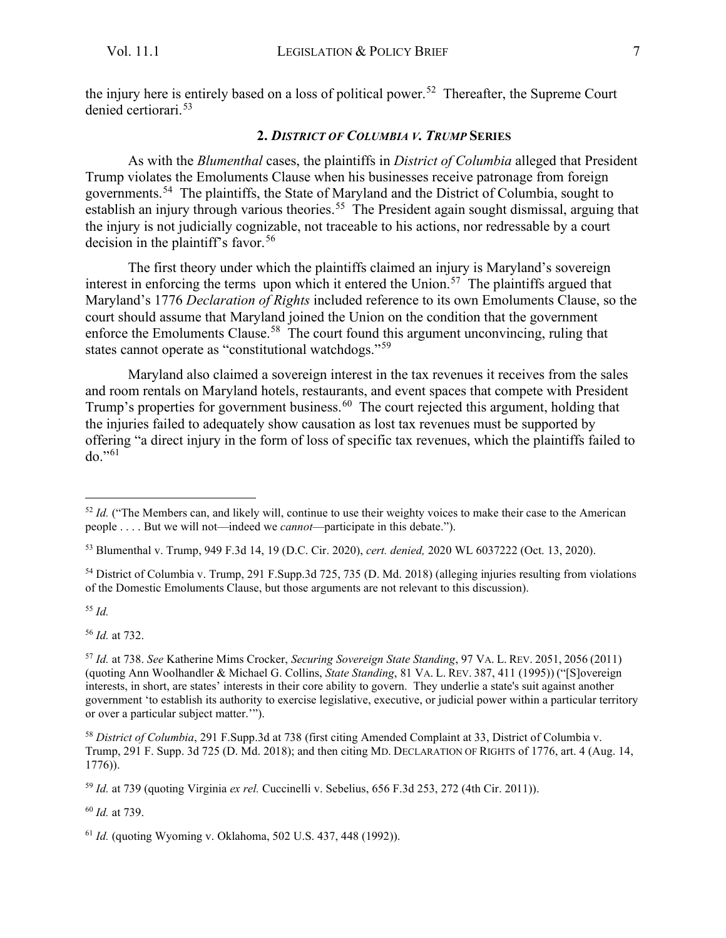<span id="page-7-0"></span>the injury here is entirely based on a loss of political power.<sup>52</sup> Thereafter, the Supreme Court denied certiorari.[53](#page-7-2)

#### **2.** *DISTRICT OF COLUMBIA V. TRUMP* **SERIES**

As with the *Blumenthal* cases, the plaintiffs in *District of Columbia* alleged that President Trump violates the Emoluments Clause when his businesses receive patronage from foreign governments.[54](#page-7-3) The plaintiffs, the State of Maryland and the District of Columbia, sought to establish an injury through various theories.<sup>[55](#page-7-4)</sup> The President again sought dismissal, arguing that the injury is not judicially cognizable, not traceable to his actions, nor redressable by a court decision in the plaintiff's favor.<sup>[56](#page-7-5)</sup>

The first theory under which the plaintiffs claimed an injury is Maryland's sovereign interest in enforcing the terms upon which it entered the Union.<sup>57</sup> The plaintiffs argued that Maryland's 1776 *Declaration of Rights* included reference to its own Emoluments Clause, so the court should assume that Maryland joined the Union on the condition that the government enforce the Emoluments Clause.<sup>58</sup> The court found this argument unconvincing, ruling that states cannot operate as "constitutional watchdogs."[59](#page-7-8)

Maryland also claimed a sovereign interest in the tax revenues it receives from the sales and room rentals on Maryland hotels, restaurants, and event spaces that compete with President Trump's properties for government business.<sup>[60](#page-7-9)</sup> The court rejected this argument, holding that the injuries failed to adequately show causation as lost tax revenues must be supported by offering "a direct injury in the form of loss of specific tax revenues, which the plaintiffs failed to  $do. "61"$  $do. "61"$  $do. "61"$ 

<span id="page-7-3"></span><sup>54</sup> District of Columbia v. Trump, 291 F.Supp.3d 725, 735 (D. Md. 2018) (alleging injuries resulting from violations of the Domestic Emoluments Clause, but those arguments are not relevant to this discussion).

<span id="page-7-4"></span><sup>55</sup> *Id.*

<span id="page-7-5"></span><sup>56</sup> *Id.* at 732.

<span id="page-7-6"></span><sup>57</sup> *Id.* at 738. *See* Katherine Mims Crocker, *Securing Sovereign State Standing*, 97 VA. L. REV. 2051, 2056 (2011) (quoting Ann Woolhandler & Michael G. Collins, *State Standing*, 81 VA. L. REV. 387, 411 (1995)) ("[S]overeign interests, in short, are states' interests in their core ability to govern. They underlie a state's suit against another government 'to establish its authority to exercise legislative, executive, or judicial power within a particular territory or over a particular subject matter.'").

<span id="page-7-7"></span><sup>58</sup> *District of Columbia*, 291 F.Supp.3d at 738 (first citing Amended Complaint at 33, District of Columbia v. Trump, 291 F. Supp. 3d 725 (D. Md. 2018); and then citing MD. DECLARATION OF RIGHTS of 1776, art. 4 (Aug. 14, 1776)).

<span id="page-7-8"></span><sup>59</sup> *Id.* at 739 (quoting Virginia *ex rel.* Cuccinelli v. Sebelius, 656 F.3d 253, 272 (4th Cir. 2011)).

<span id="page-7-9"></span><sup>60</sup> *Id.* at 739.

<span id="page-7-10"></span><sup>61</sup> *Id.* (quoting Wyoming v. Oklahoma, 502 U.S. 437, 448 (1992)).

<span id="page-7-1"></span><sup>&</sup>lt;sup>52</sup> *Id.* ("The Members can, and likely will, continue to use their weighty voices to make their case to the American people . . . . But we will not—indeed we *cannot*—participate in this debate.").

<span id="page-7-2"></span><sup>53</sup> Blumenthal v. Trump, 949 F.3d 14, 19 (D.C. Cir. 2020), *cert. denied,* 2020 WL 6037222 (Oct. 13, 2020).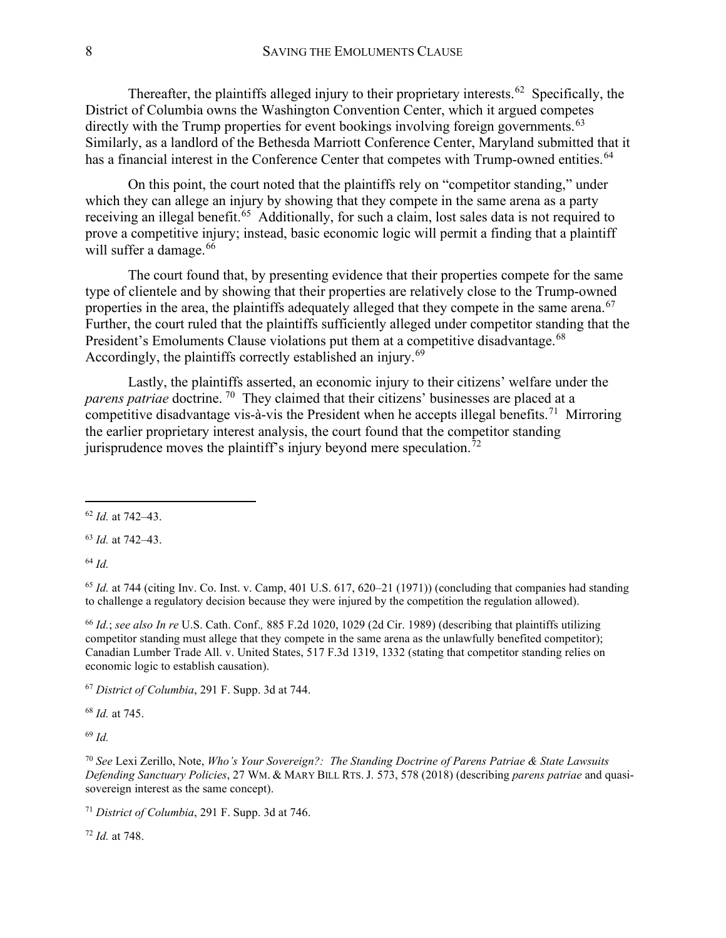Thereafter, the plaintiffs alleged injury to their proprietary interests.<sup>62</sup> Specifically, the District of Columbia owns the Washington Convention Center, which it argued competes directly with the Trump properties for event bookings involving foreign governments.<sup>63</sup> Similarly, as a landlord of the Bethesda Marriott Conference Center, Maryland submitted that it has a financial interest in the Conference Center that competes with Trump-owned entities.<sup>[64](#page-8-2)</sup>

On this point, the court noted that the plaintiffs rely on "competitor standing," under which they can allege an injury by showing that they compete in the same arena as a party receiving an illegal benefit.<sup>65</sup> Additionally, for such a claim, lost sales data is not required to prove a competitive injury; instead, basic economic logic will permit a finding that a plaintiff will suffer a damage.<sup>[66](#page-8-4)</sup>

The court found that, by presenting evidence that their properties compete for the same type of clientele and by showing that their properties are relatively close to the Trump-owned properties in the area, the plaintiffs adequately alleged that they compete in the same arena.<sup>[67](#page-8-5)</sup> Further, the court ruled that the plaintiffs sufficiently alleged under competitor standing that the President's Emoluments Clause violations put them at a competitive disadvantage.<sup>[68](#page-8-6)</sup> Accordingly, the plaintiffs correctly established an injury.<sup>[69](#page-8-7)</sup>

Lastly, the plaintiffs asserted, an economic injury to their citizens' welfare under the *parens patriae* doctrine.<sup>[70](#page-8-8)</sup> They claimed that their citizens' businesses are placed at a competitive disadvantage vis-à-vis the President when he accepts illegal benefits.<sup>[71](#page-8-9)</sup> Mirroring the earlier proprietary interest analysis, the court found that the competitor standing jurisprudence moves the plaintiff's injury beyond mere speculation.<sup>[72](#page-8-10)</sup>

<span id="page-8-1"></span><sup>63</sup> *Id.* at 742–43.

<span id="page-8-2"></span><sup>64</sup> *Id.*

<span id="page-8-3"></span><sup>65</sup> *Id.* at 744 (citing Inv. Co. Inst. v. Camp, 401 U.S. 617, 620–21 (1971)) (concluding that companies had standing to challenge a regulatory decision because they were injured by the competition the regulation allowed).

<span id="page-8-4"></span><sup>66</sup> *Id.*; *see also In re* U.S. Cath. Conf.*,* 885 F.2d 1020, 1029 (2d Cir. 1989) (describing that plaintiffs utilizing competitor standing must allege that they compete in the same arena as the unlawfully benefited competitor); Canadian Lumber Trade All. v. United States, 517 F.3d 1319, 1332 (stating that competitor standing relies on economic logic to establish causation).

<span id="page-8-5"></span><sup>67</sup> *District of Columbia*, 291 F. Supp. 3d at 744.

<span id="page-8-6"></span><sup>68</sup> *Id.* at 745.

<span id="page-8-7"></span><sup>69</sup> *Id.*

<span id="page-8-8"></span><sup>70</sup> *See* Lexi Zerillo, Note, *Who's Your Sovereign?: The Standing Doctrine of Parens Patriae & State Lawsuits Defending Sanctuary Policies*, 27 WM. & MARY BILL RTS. J. 573, 578 (2018) (describing *parens patriae* and quasisovereign interest as the same concept).

<span id="page-8-9"></span><sup>71</sup> *District of Columbia*, 291 F. Supp. 3d at 746.

<span id="page-8-10"></span><sup>72</sup> *Id.* at 748.

<span id="page-8-0"></span><sup>62</sup> *Id.* at 742–43.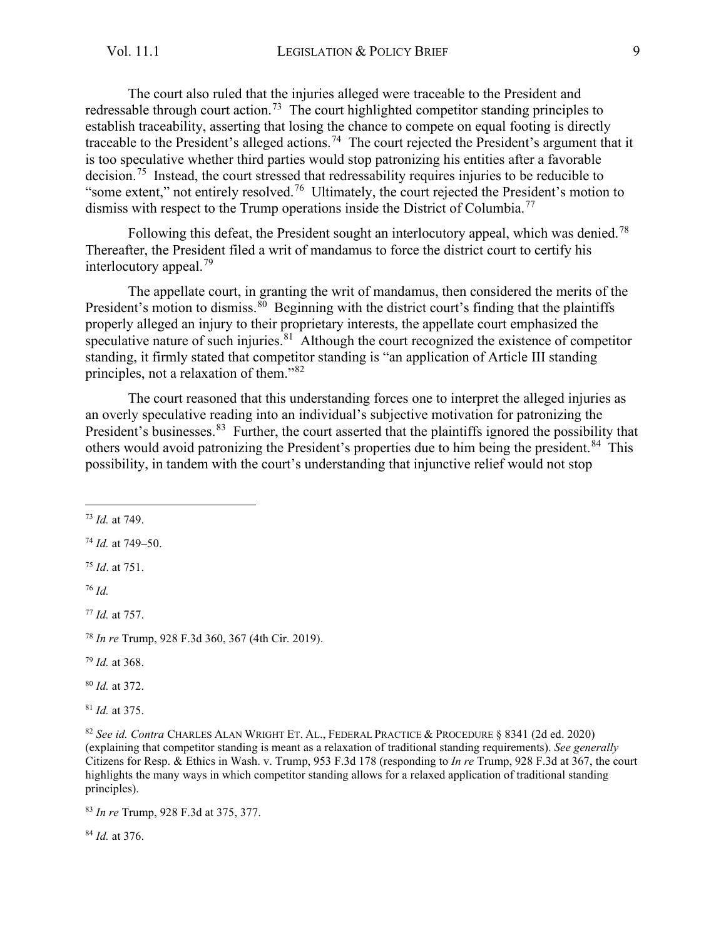The court also ruled that the injuries alleged were traceable to the President and redressable through court action.<sup>[73](#page-9-0)</sup> The court highlighted competitor standing principles to establish traceability, asserting that losing the chance to compete on equal footing is directly traceable to the President's alleged actions.<sup>[74](#page-9-1)</sup> The court rejected the President's argument that it is too speculative whether third parties would stop patronizing his entities after a favorable decision.[75](#page-9-2) Instead, the court stressed that redressability requires injuries to be reducible to "some extent," not entirely resolved.[76](#page-9-3) Ultimately, the court rejected the President's motion to dismiss with respect to the Trump operations inside the District of Columbia.<sup>[77](#page-9-4)</sup>

Following this defeat, the President sought an interlocutory appeal, which was denied.<sup>[78](#page-9-5)</sup> Thereafter, the President filed a writ of mandamus to force the district court to certify his interlocutory appeal.[79](#page-9-6)

The appellate court, in granting the writ of mandamus, then considered the merits of the President's motion to dismiss. $\frac{80}{9}$  $\frac{80}{9}$  $\frac{80}{9}$  Beginning with the district court's finding that the plaintiffs properly alleged an injury to their proprietary interests, the appellate court emphasized the speculative nature of such injuries.<sup>81</sup> Although the court recognized the existence of competitor standing, it firmly stated that competitor standing is "an application of Article III standing principles, not a relaxation of them."[82](#page-9-9)

The court reasoned that this understanding forces one to interpret the alleged injuries as an overly speculative reading into an individual's subjective motivation for patronizing the President's businesses.<sup>83</sup> Further, the court asserted that the plaintiffs ignored the possibility that others would avoid patronizing the President's properties due to him being the president.<sup>[84](#page-9-11)</sup> This possibility, in tandem with the court's understanding that injunctive relief would not stop

<span id="page-9-2"></span><sup>75</sup> *Id*. at 751.

<span id="page-9-3"></span><sup>76</sup> *Id.* 

<span id="page-9-4"></span><sup>77</sup> *Id.* at 757.

<span id="page-9-5"></span><sup>78</sup> *In re* Trump, 928 F.3d 360, 367 (4th Cir. 2019).

<span id="page-9-6"></span><sup>79</sup> *Id.* at 368.

<span id="page-9-7"></span><sup>80</sup> *Id.* at 372.

<span id="page-9-8"></span><sup>81</sup> *Id.* at 375.

<span id="page-9-9"></span><sup>82</sup> *See id. Contra* CHARLES ALAN WRIGHT ET. AL., FEDERAL PRACTICE & PROCEDURE § 8341 (2d ed. 2020) (explaining that competitor standing is meant as a relaxation of traditional standing requirements). *See generally*  Citizens for Resp. & Ethics in Wash. v. Trump, 953 F.3d 178 (responding to *In re* Trump, 928 F.3d at 367, the court highlights the many ways in which competitor standing allows for a relaxed application of traditional standing principles).

<span id="page-9-10"></span><sup>83</sup> *In re* Trump, 928 F.3d at 375, 377.

<span id="page-9-11"></span><sup>84</sup> *Id.* at 376.

<span id="page-9-0"></span><sup>73</sup> *Id.* at 749.

<span id="page-9-1"></span><sup>74</sup> *Id.* at 749–50.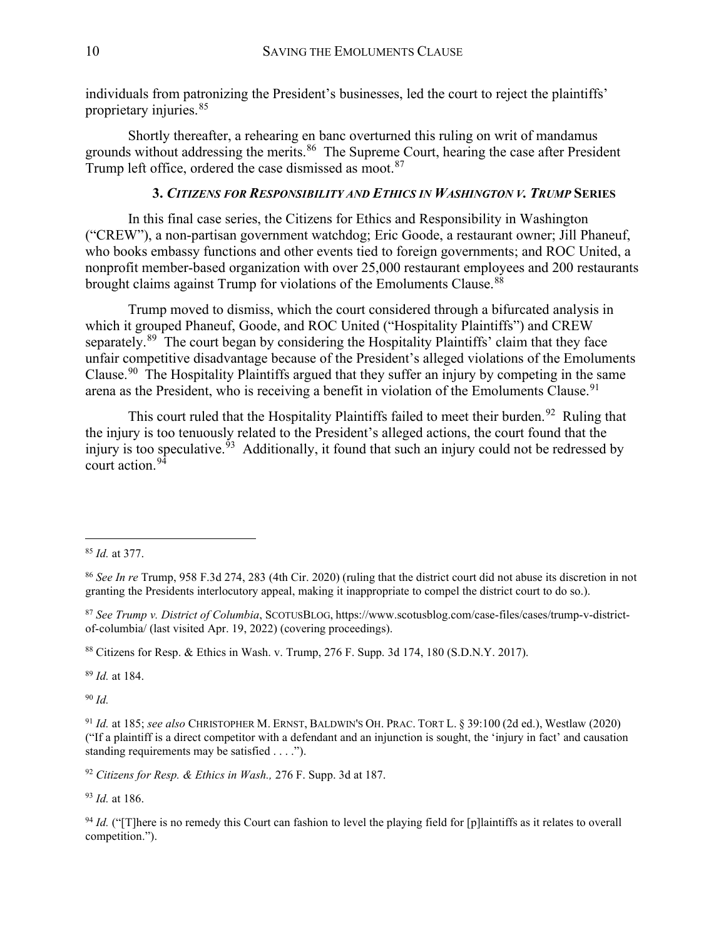individuals from patronizing the President's businesses, led the court to reject the plaintiffs' proprietary injuries.[85](#page-10-0)

Shortly thereafter, a rehearing en banc overturned this ruling on writ of mandamus grounds without addressing the merits.<sup>[86](#page-10-1)</sup> The Supreme Court, hearing the case after President Trump left office, ordered the case dismissed as moot.<sup>[87](#page-10-2)</sup>

#### **3.** *CITIZENS FOR RESPONSIBILITY AND ETHICS IN WASHINGTON V. TRUMP* **SERIES**

In this final case series, the Citizens for Ethics and Responsibility in Washington ("CREW"), a non-partisan government watchdog; Eric Goode, a restaurant owner; Jill Phaneuf, who books embassy functions and other events tied to foreign governments; and ROC United, a nonprofit member-based organization with over 25,000 restaurant employees and 200 restaurants brought claims against Trump for violations of the Emoluments Clause.<sup>[88](#page-10-3)</sup>

Trump moved to dismiss, which the court considered through a bifurcated analysis in which it grouped Phaneuf, Goode, and ROC United ("Hospitality Plaintiffs") and CREW separately.<sup>[89](#page-10-4)</sup> The court began by considering the Hospitality Plaintiffs' claim that they face unfair competitive disadvantage because of the President's alleged violations of the Emoluments Clause.[90](#page-10-5) The Hospitality Plaintiffs argued that they suffer an injury by competing in the same arena as the President, who is receiving a benefit in violation of the Emoluments Clause.<sup>[91](#page-10-6)</sup>

This court ruled that the Hospitality Plaintiffs failed to meet their burden.<sup>[92](#page-10-7)</sup> Ruling that the injury is too tenuously related to the President's alleged actions, the court found that the injury is too speculative.<sup>93</sup> Additionally, it found that such an injury could not be redressed by court action.[94](#page-10-9) 

<span id="page-10-4"></span><sup>89</sup> *Id.* at 184.

<span id="page-10-5"></span><sup>90</sup> *Id.*

<span id="page-10-6"></span><sup>91</sup> *Id.* at 185; *see also* CHRISTOPHER M. ERNST, BALDWIN'S OH. PRAC. TORT L. § 39:100 (2d ed.), Westlaw (2020) ("If a plaintiff is a direct competitor with a defendant and an injunction is sought, the 'injury in fact' and causation standing requirements may be satisfied . . . .").

<span id="page-10-7"></span><sup>92</sup> *Citizens for Resp. & Ethics in Wash.,* 276 F. Supp. 3d at 187.

<span id="page-10-8"></span><sup>93</sup> *Id.* at 186.

<span id="page-10-9"></span><sup>94</sup> *Id.* ("There is no remedy this Court can fashion to level the playing field for [p]laintiffs as it relates to overall competition.").

<span id="page-10-0"></span><sup>85</sup> *Id.* at 377.

<span id="page-10-1"></span><sup>86</sup> *See In re* Trump, 958 F.3d 274, 283 (4th Cir. 2020) (ruling that the district court did not abuse its discretion in not granting the Presidents interlocutory appeal, making it inappropriate to compel the district court to do so.).

<span id="page-10-2"></span><sup>87</sup> *See Trump v. District of Columbia*, SCOTUSBLOG, https://www.scotusblog.com/case-files/cases/trump-v-districtof-columbia/ (last visited Apr. 19, 2022) (covering proceedings).

<span id="page-10-3"></span><sup>88</sup> Citizens for Resp. & Ethics in Wash. v. Trump, 276 F. Supp. 3d 174, 180 (S.D.N.Y. 2017).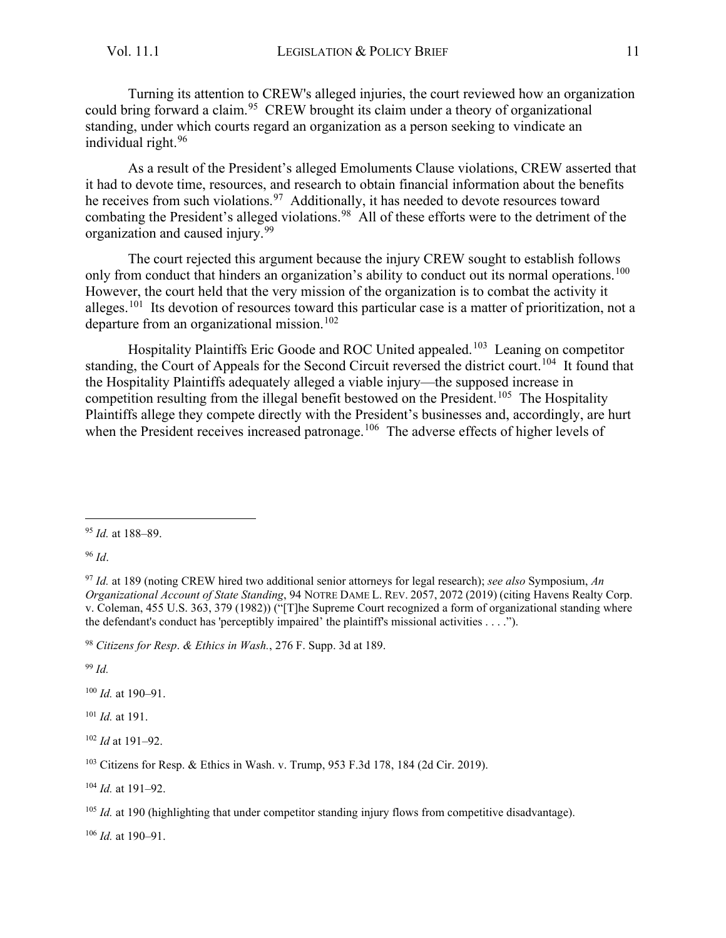Turning its attention to CREW's alleged injuries, the court reviewed how an organization could bring forward a claim.<sup>95</sup> CREW brought its claim under a theory of organizational standing, under which courts regard an organization as a person seeking to vindicate an individual right.[96](#page-11-1)

As a result of the President's alleged Emoluments Clause violations, CREW asserted that it had to devote time, resources, and research to obtain financial information about the benefits he receives from such violations.<sup>97</sup> Additionally, it has needed to devote resources toward combating the President's alleged violations.<sup>[98](#page-11-3)</sup> All of these efforts were to the detriment of the organization and caused injury.<sup>[99](#page-11-4)</sup>

The court rejected this argument because the injury CREW sought to establish follows only from conduct that hinders an organization's ability to conduct out its normal operations.<sup>[100](#page-11-5)</sup> However, the court held that the very mission of the organization is to combat the activity it alleges.[101](#page-11-6) Its devotion of resources toward this particular case is a matter of prioritization, not a departure from an organizational mission.<sup>[102](#page-11-7)</sup>

Hospitality Plaintiffs Eric Goode and ROC United appealed.<sup>[103](#page-11-8)</sup> Leaning on competitor standing, the Court of Appeals for the Second Circuit reversed the district court.<sup>[104](#page-11-9)</sup> It found that the Hospitality Plaintiffs adequately alleged a viable injury—the supposed increase in competition resulting from the illegal benefit bestowed on the President.<sup>[105](#page-11-10)</sup> The Hospitality Plaintiffs allege they compete directly with the President's businesses and, accordingly, are hurt when the President receives increased patronage.<sup>[106](#page-11-11)</sup> The adverse effects of higher levels of

<span id="page-11-1"></span><sup>96</sup> *Id*.

<span id="page-11-4"></span><sup>99</sup> *Id.*

<span id="page-11-5"></span><sup>100</sup> *Id.* at 190–91.

<span id="page-11-6"></span><sup>101</sup> *Id.* at 191.

<span id="page-11-7"></span><sup>102</sup> *Id* at 191–92.

<span id="page-11-9"></span><sup>104</sup> *Id.* at 191–92.

<span id="page-11-11"></span> $106$  *Id.* at 190–91.

<span id="page-11-0"></span><sup>95</sup> *Id.* at 188–89.

<span id="page-11-2"></span><sup>97</sup> *Id.* at 189 (noting CREW hired two additional senior attorneys for legal research); *see also* Symposium, *An Organizational Account of State Standing*, 94 NOTRE DAME L. REV. 2057, 2072 (2019) (citing Havens Realty Corp. v. Coleman, 455 U.S. 363, 379 (1982)) ("[T]he Supreme Court recognized a form of organizational standing where the defendant's conduct has 'perceptibly impaired' the plaintiff's missional activities . . . .").

<span id="page-11-3"></span><sup>98</sup> *Citizens for Resp*. *& Ethics in Wash.*, 276 F. Supp. 3d at 189.

<span id="page-11-8"></span><sup>103</sup> Citizens for Resp. & Ethics in Wash. v. Trump, 953 F.3d 178, 184 (2d Cir. 2019).

<span id="page-11-10"></span><sup>&</sup>lt;sup>105</sup> *Id.* at 190 (highlighting that under competitor standing injury flows from competitive disadvantage).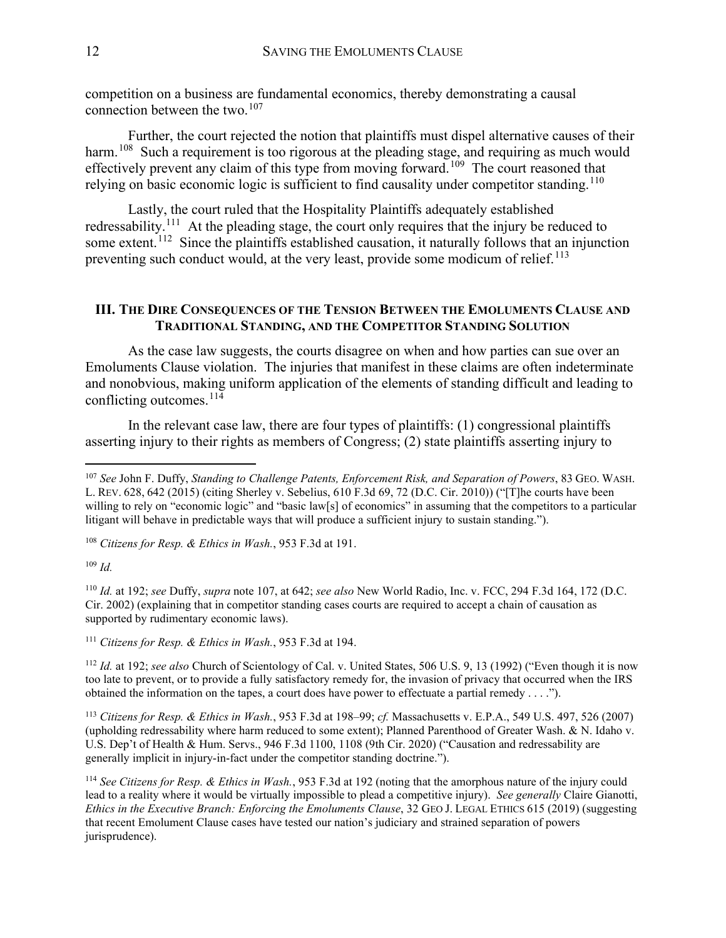competition on a business are fundamental economics, thereby demonstrating a causal connection between the two. $107$ 

Further, the court rejected the notion that plaintiffs must dispel alternative causes of their harm.<sup>[108](#page-12-2)</sup> Such a requirement is too rigorous at the pleading stage, and requiring as much would effectively prevent any claim of this type from moving forward.<sup>[109](#page-12-3)</sup> The court reasoned that relying on basic economic logic is sufficient to find causality under competitor standing.<sup>[110](#page-12-4)</sup>

Lastly, the court ruled that the Hospitality Plaintiffs adequately established redressability.<sup>[111](#page-12-5)</sup> At the pleading stage, the court only requires that the injury be reduced to some extent.<sup>[112](#page-12-6)</sup> Since the plaintiffs established causation, it naturally follows that an injunction preventing such conduct would, at the very least, provide some modicum of relief.<sup>[113](#page-12-7)</sup>

#### <span id="page-12-0"></span>**III. THE DIRE CONSEQUENCES OF THE TENSION BETWEEN THE EMOLUMENTS CLAUSE AND TRADITIONAL STANDING, AND THE COMPETITOR STANDING SOLUTION**

As the case law suggests, the courts disagree on when and how parties can sue over an Emoluments Clause violation. The injuries that manifest in these claims are often indeterminate and nonobvious, making uniform application of the elements of standing difficult and leading to conflicting outcomes. [114](#page-12-8)

In the relevant case law, there are four types of plaintiffs: (1) congressional plaintiffs asserting injury to their rights as members of Congress; (2) state plaintiffs asserting injury to

<span id="page-12-2"></span><sup>108</sup> *Citizens for Resp. & Ethics in Wash.*, 953 F.3d at 191.

<span id="page-12-3"></span><sup>109</sup> *Id.*

<span id="page-12-4"></span><sup>110</sup> *Id.* at 192; *see* Duffy, *supra* note 107, at 642; *see also* New World Radio, Inc. v. FCC, 294 F.3d 164, 172 (D.C. Cir. 2002) (explaining that in competitor standing cases courts are required to accept a chain of causation as supported by rudimentary economic laws).

<span id="page-12-5"></span><sup>111</sup> *Citizens for Resp. & Ethics in Wash.*, 953 F.3d at 194.

<span id="page-12-6"></span><sup>112</sup> *Id.* at 192; *see also* Church of Scientology of Cal. v. United States, 506 U.S. 9, 13 (1992) ("Even though it is now too late to prevent, or to provide a fully satisfactory remedy for, the invasion of privacy that occurred when the IRS obtained the information on the tapes, a court does have power to effectuate a partial remedy . . . .").

<span id="page-12-7"></span><sup>113</sup> *Citizens for Resp. & Ethics in Wash.*, 953 F.3d at 198–99; *cf.* Massachusetts v. E.P.A., 549 U.S. 497, 526 (2007) (upholding redressability where harm reduced to some extent); Planned Parenthood of Greater Wash. & N. Idaho v. U.S. Dep't of Health & Hum. Servs., 946 F.3d 1100, 1108 (9th Cir. 2020) ("Causation and redressability are generally implicit in injury-in-fact under the competitor standing doctrine.").

<span id="page-12-8"></span><sup>114</sup> *See Citizens for Resp. & Ethics in Wash.*, 953 F.3d at 192 (noting that the amorphous nature of the injury could lead to a reality where it would be virtually impossible to plead a competitive injury). *See generally* Claire Gianotti, *Ethics in the Executive Branch: Enforcing the Emoluments Clause*, 32 GEO J. LEGAL ETHICS 615 (2019) (suggesting that recent Emolument Clause cases have tested our nation's judiciary and strained separation of powers jurisprudence).

<span id="page-12-1"></span><sup>107</sup> *See* John F. Duffy, *Standing to Challenge Patents, Enforcement Risk, and Separation of Powers*, 83 GEO. WASH. L. REV. 628, 642 (2015) (citing Sherley v. Sebelius, 610 F.3d 69, 72 (D.C. Cir. 2010)) ("[T]he courts have been willing to rely on "economic logic" and "basic law[s] of economics" in assuming that the competitors to a particular litigant will behave in predictable ways that will produce a sufficient injury to sustain standing.").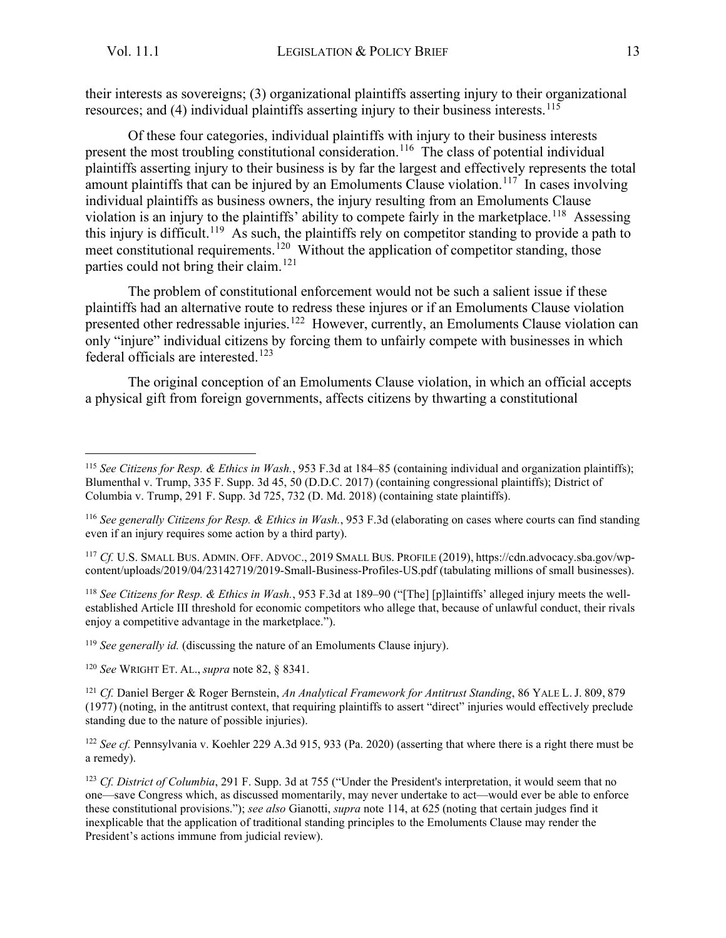their interests as sovereigns; (3) organizational plaintiffs asserting injury to their organizational resources; and (4) individual plaintiffs asserting injury to their business interests.<sup>[115](#page-13-0)</sup>

Of these four categories, individual plaintiffs with injury to their business interests present the most troubling constitutional consideration.<sup>[116](#page-13-1)</sup> The class of potential individual plaintiffs asserting injury to their business is by far the largest and effectively represents the total amount plaintiffs that can be injured by an Emoluments Clause violation.<sup>[117](#page-13-2)</sup> In cases involving individual plaintiffs as business owners, the injury resulting from an Emoluments Clause violation is an injury to the plaintiffs' ability to compete fairly in the marketplace.<sup>118</sup> Assessing this injury is difficult.<sup>[119](#page-13-4)</sup> As such, the plaintiffs rely on competitor standing to provide a path to meet constitutional requirements.<sup>[120](#page-13-5)</sup> Without the application of competitor standing, those parties could not bring their claim.<sup>121</sup>

The problem of constitutional enforcement would not be such a salient issue if these plaintiffs had an alternative route to redress these injures or if an Emoluments Clause violation presented other redressable injuries.<sup>[122](#page-13-7)</sup> However, currently, an Emoluments Clause violation can only "injure" individual citizens by forcing them to unfairly compete with businesses in which federal officials are interested.<sup>[123](#page-13-8)</sup>

The original conception of an Emoluments Clause violation, in which an official accepts a physical gift from foreign governments, affects citizens by thwarting a constitutional

<span id="page-13-3"></span><sup>118</sup> *See Citizens for Resp. & Ethics in Wash.*, 953 F.3d at 189–90 ("[The] [p]laintiffs' alleged injury meets the wellestablished Article III threshold for economic competitors who allege that, because of unlawful conduct, their rivals enjoy a competitive advantage in the marketplace.").

<span id="page-13-4"></span><sup>119</sup> *See generally id.* (discussing the nature of an Emoluments Clause injury).

<span id="page-13-5"></span><sup>120</sup> *See* WRIGHT ET. AL., *supra* note 82, § 8341.

<span id="page-13-6"></span><sup>121</sup> *Cf.* Daniel Berger & Roger Bernstein, *An Analytical Framework for Antitrust Standing*, 86 YALE L. J. 809, 879 (1977) (noting, in the antitrust context, that requiring plaintiffs to assert "direct" injuries would effectively preclude standing due to the nature of possible injuries).

<span id="page-13-7"></span><sup>122</sup> See cf. Pennsylvania v. Koehler 229 A.3d 915, 933 (Pa. 2020) (asserting that where there is a right there must be a remedy).

<span id="page-13-8"></span><sup>123</sup> *Cf. District of Columbia*, 291 F. Supp. 3d at 755 ("Under the President's interpretation, it would seem that no one—save Congress which, as discussed momentarily, may never undertake to act—would ever be able to enforce these constitutional provisions."); *see also* Gianotti, *supra* note 114, at 625 (noting that certain judges find it inexplicable that the application of traditional standing principles to the Emoluments Clause may render the President's actions immune from judicial review).

<span id="page-13-0"></span><sup>115</sup> *See Citizens for Resp. & Ethics in Wash.*, 953 F.3d at 184–85 (containing individual and organization plaintiffs); Blumenthal v. Trump, 335 F. Supp. 3d 45, 50 (D.D.C. 2017) (containing congressional plaintiffs); District of Columbia v. Trump, 291 F. Supp. 3d 725, 732 (D. Md. 2018) (containing state plaintiffs).

<span id="page-13-1"></span><sup>116</sup> *See generally Citizens for Resp. & Ethics in Wash.*, 953 F.3d (elaborating on cases where courts can find standing even if an injury requires some action by a third party).

<span id="page-13-2"></span><sup>117</sup> *Cf.* U.S. SMALL BUS. ADMIN. OFF. ADVOC., 2019 SMALL BUS. PROFILE (2019), https://cdn.advocacy.sba.gov/wpcontent/uploads/2019/04/23142719/2019-Small-Business-Profiles-US.pdf (tabulating millions of small businesses).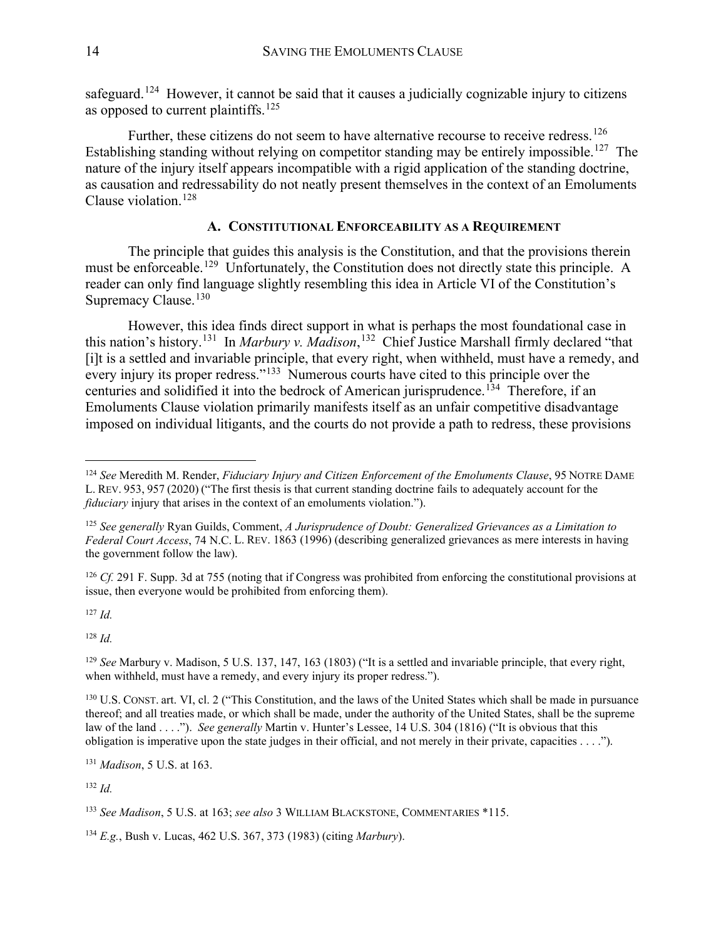safeguard.<sup>[124](#page-14-1)</sup> However, it cannot be said that it causes a judicially cognizable injury to citizens as opposed to current plaintiffs.<sup>[125](#page-14-2)</sup>

Further, these citizens do not seem to have alternative recourse to receive redress.<sup>126</sup> Establishing standing without relying on competitor standing may be entirely impossible.<sup>127</sup> The nature of the injury itself appears incompatible with a rigid application of the standing doctrine, as causation and redressability do not neatly present themselves in the context of an Emoluments Clause violation.<sup>[128](#page-14-5)</sup>

#### **A. CONSTITUTIONAL ENFORCEABILITY AS A REQUIREMENT**

<span id="page-14-0"></span>The principle that guides this analysis is the Constitution, and that the provisions therein must be enforceable.<sup>[129](#page-14-6)</sup> Unfortunately, the Constitution does not directly state this principle. A reader can only find language slightly resembling this idea in Article VI of the Constitution's Supremacy Clause.<sup>[130](#page-14-7)</sup>

However, this idea finds direct support in what is perhaps the most foundational case in this nation's history.[131](#page-14-8) In *Marbury v. Madison*, [132](#page-14-9) Chief Justice Marshall firmly declared "that [i]t is a settled and invariable principle, that every right, when withheld, must have a remedy, and every injury its proper redress."<sup>[133](#page-14-10)</sup> Numerous courts have cited to this principle over the centuries and solidified it into the bedrock of American jurisprudence.<sup>[134](#page-14-11)</sup> Therefore, if an Emoluments Clause violation primarily manifests itself as an unfair competitive disadvantage imposed on individual litigants, and the courts do not provide a path to redress, these provisions

<span id="page-14-3"></span><sup>126</sup> *Cf.* 291 F. Supp. 3d at 755 (noting that if Congress was prohibited from enforcing the constitutional provisions at issue, then everyone would be prohibited from enforcing them).

<span id="page-14-4"></span><sup>127</sup> *Id.*

<span id="page-14-5"></span><sup>128</sup> *Id.*

<span id="page-14-6"></span><sup>129</sup> *See* Marbury v. Madison, 5 U.S. 137, 147, 163 (1803) ("It is a settled and invariable principle, that every right, when withheld, must have a remedy, and every injury its proper redress.").

<span id="page-14-7"></span><sup>130</sup> U.S. CONST. art. VI, cl. 2 ("This Constitution, and the laws of the United States which shall be made in pursuance thereof; and all treaties made, or which shall be made, under the authority of the United States, shall be the supreme law of the land . . . ."). *See generally* Martin v. Hunter's Lessee, 14 U.S. 304 (1816) ("It is obvious that this obligation is imperative upon the state judges in their official, and not merely in their private, capacities . . . .").

<span id="page-14-8"></span><sup>131</sup> *Madison*, 5 U.S. at 163.

<span id="page-14-9"></span><sup>132</sup> *Id.*

<span id="page-14-11"></span><sup>134</sup> *E.g.*, Bush v. Lucas, 462 U.S. 367, 373 (1983) (citing *Marbury*).

<span id="page-14-1"></span><sup>124</sup> *See* Meredith M. Render, *Fiduciary Injury and Citizen Enforcement of the Emoluments Clause*, 95 NOTRE DAME L. REV. 953, 957 (2020) ("The first thesis is that current standing doctrine fails to adequately account for the *fiduciary* injury that arises in the context of an emoluments violation.").

<span id="page-14-2"></span><sup>125</sup> *See generally* Ryan Guilds, Comment, *A Jurisprudence of Doubt: Generalized Grievances as a Limitation to Federal Court Access*, 74 N.C. L. REV. 1863 (1996) (describing generalized grievances as mere interests in having the government follow the law).

<span id="page-14-10"></span><sup>133</sup> *See Madison*, 5 U.S. at 163; *see also* 3 WILLIAM BLACKSTONE, COMMENTARIES \*115.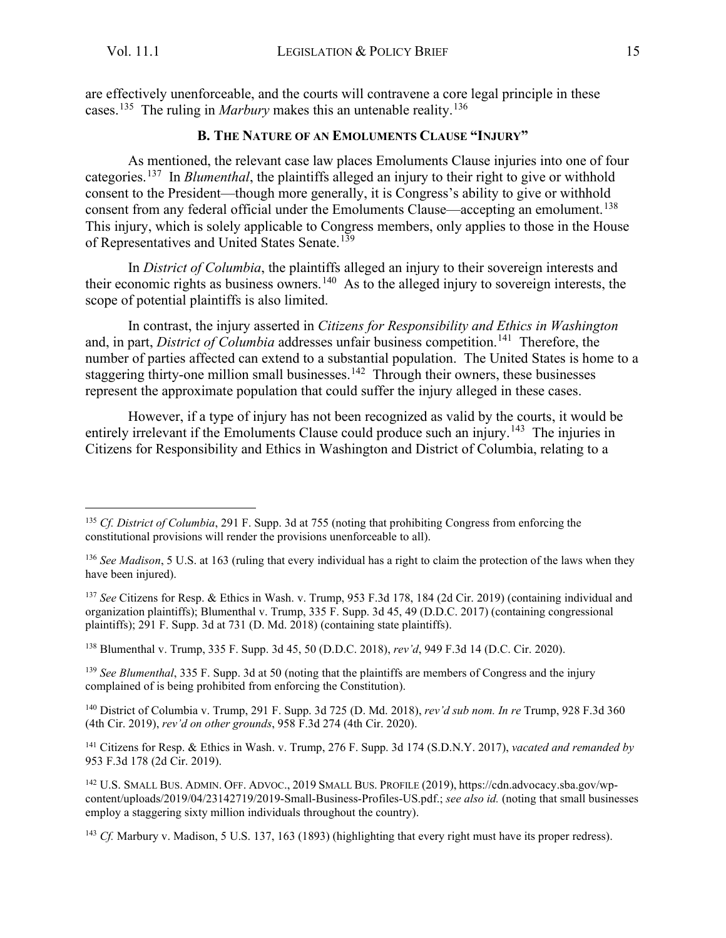<span id="page-15-0"></span>are effectively unenforceable, and the courts will contravene a core legal principle in these cases. [135](#page-15-1) The ruling in *Marbury* makes this an untenable reality.[136](#page-15-2)

#### **B. THE NATURE OF AN EMOLUMENTS CLAUSE "INJURY"**

As mentioned, the relevant case law places Emoluments Clause injuries into one of four categories.[137](#page-15-3) In *Blumenthal*, the plaintiffs alleged an injury to their right to give or withhold consent to the President—though more generally, it is Congress's ability to give or withhold consent from any federal official under the Emoluments Clause—accepting an emolument.<sup>138</sup> This injury, which is solely applicable to Congress members, only applies to those in the House of Representatives and United States Senate.<sup>[139](#page-15-5)</sup>

In *District of Columbia*, the plaintiffs alleged an injury to their sovereign interests and their economic rights as business owners.<sup>[140](#page-15-6)</sup> As to the alleged injury to sovereign interests, the scope of potential plaintiffs is also limited.

In contrast, the injury asserted in *Citizens for Responsibility and Ethics in Washington* and, in part, *District of Columbia* addresses unfair business competition.<sup>[141](#page-15-7)</sup> Therefore, the number of parties affected can extend to a substantial population. The United States is home to a staggering thirty-one million small businesses.<sup>[142](#page-15-8)</sup> Through their owners, these businesses represent the approximate population that could suffer the injury alleged in these cases.

However, if a type of injury has not been recognized as valid by the courts, it would be entirely irrelevant if the Emoluments Clause could produce such an injury.<sup>[143](#page-15-9)</sup> The injuries in Citizens for Responsibility and Ethics in Washington and District of Columbia, relating to a

<span id="page-15-3"></span><sup>137</sup> *See* Citizens for Resp. & Ethics in Wash. v. Trump, 953 F.3d 178, 184 (2d Cir. 2019) (containing individual and organization plaintiffs); Blumenthal v. Trump, 335 F. Supp. 3d 45, 49 (D.D.C. 2017) (containing congressional plaintiffs); 291 F. Supp. 3d at 731 (D. Md. 2018) (containing state plaintiffs).

<span id="page-15-4"></span><sup>138</sup> Blumenthal v. Trump, 335 F. Supp. 3d 45, 50 (D.D.C. 2018), *rev'd*, 949 F.3d 14 (D.C. Cir. 2020).

<span id="page-15-5"></span><sup>139</sup> *See Blumenthal*, 335 F. Supp. 3d at 50 (noting that the plaintiffs are members of Congress and the injury complained of is being prohibited from enforcing the Constitution).

<span id="page-15-6"></span><sup>140</sup> District of Columbia v. Trump, 291 F. Supp. 3d 725 (D. Md. 2018), *rev'd sub nom. In re* Trump, 928 F.3d 360 (4th Cir. 2019), *rev'd on other grounds*, 958 F.3d 274 (4th Cir. 2020).

<span id="page-15-7"></span><sup>141</sup> Citizens for Resp. & Ethics in Wash. v. Trump, 276 F. Supp. 3d 174 (S.D.N.Y. 2017), *vacated and remanded by* 953 F.3d 178 (2d Cir. 2019).

<span id="page-15-8"></span><sup>142</sup> U.S. SMALL BUS. ADMIN. OFF. ADVOC., 2019 SMALL BUS. PROFILE (2019), https://cdn.advocacy.sba.gov/wpcontent/uploads/2019/04/23142719/2019-Small-Business-Profiles-US.pdf.; *see also id.* (noting that small businesses employ a staggering sixty million individuals throughout the country).

<span id="page-15-9"></span><sup>143</sup> *Cf.* Marbury v. Madison, 5 U.S. 137, 163 (1893) (highlighting that every right must have its proper redress).

<span id="page-15-1"></span><sup>135</sup> *Cf. District of Columbia*, 291 F. Supp. 3d at 755 (noting that prohibiting Congress from enforcing the constitutional provisions will render the provisions unenforceable to all).

<span id="page-15-2"></span><sup>&</sup>lt;sup>136</sup> *See Madison*, 5 U.S. at 163 (ruling that every individual has a right to claim the protection of the laws when they have been injured).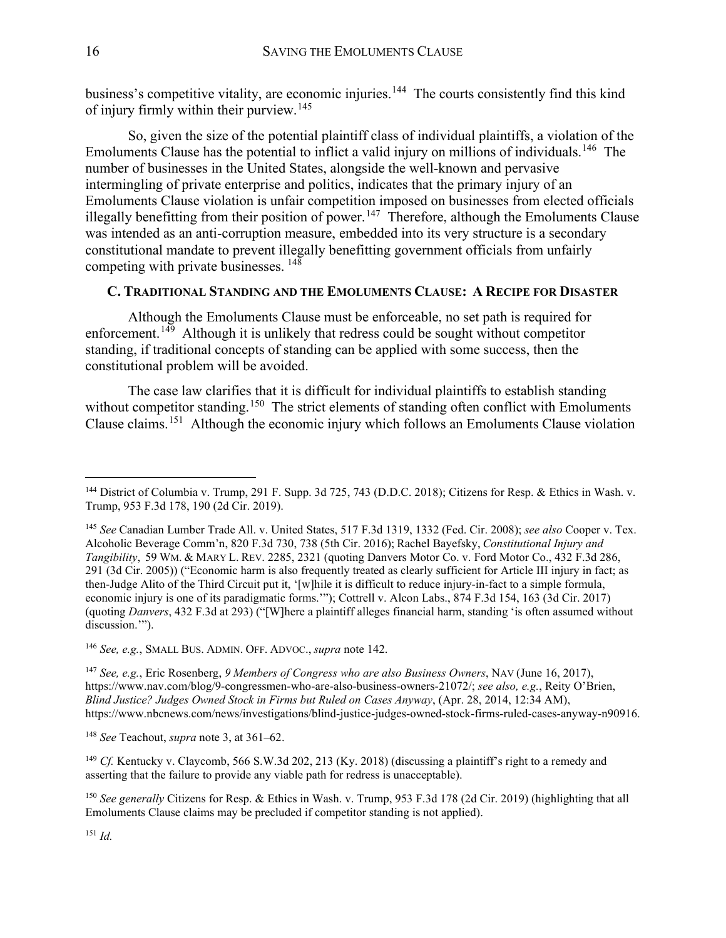business's competitive vitality, are economic injuries.<sup>[144](#page-16-1)</sup> The courts consistently find this kind of injury firmly within their purview.[145](#page-16-2)

So, given the size of the potential plaintiff class of individual plaintiffs, a violation of the Emoluments Clause has the potential to inflict a valid injury on millions of individuals.<sup>[146](#page-16-3)</sup> The number of businesses in the United States, alongside the well-known and pervasive intermingling of private enterprise and politics, indicates that the primary injury of an Emoluments Clause violation is unfair competition imposed on businesses from elected officials illegally benefitting from their position of power.<sup>[147](#page-16-4)</sup> Therefore, although the Emoluments Clause was intended as an anti-corruption measure, embedded into its very structure is a secondary constitutional mandate to prevent illegally benefitting government officials from unfairly competing with private businesses. [148](#page-16-5)

#### <span id="page-16-0"></span>**C. TRADITIONAL STANDING AND THE EMOLUMENTS CLAUSE: A RECIPE FOR DISASTER**

Although the Emoluments Clause must be enforceable, no set path is required for enforcement.<sup>149</sup> Although it is unlikely that redress could be sought without competitor standing, if traditional concepts of standing can be applied with some success, then the constitutional problem will be avoided.

The case law clarifies that it is difficult for individual plaintiffs to establish standing without competitor standing.<sup>[150](#page-16-7)</sup> The strict elements of standing often conflict with Emoluments Clause claims. [151](#page-16-8) Although the economic injury which follows an Emoluments Clause violation

<span id="page-16-3"></span><sup>146</sup> *See, e.g.*, SMALL BUS. ADMIN. OFF. ADVOC., *supra* note 142.

<span id="page-16-4"></span><sup>147</sup> *See, e.g.*, Eric Rosenberg, *9 Members of Congress who are also Business Owners*, NAV (June 16, 2017), https://www.nav.com/blog/9-congressmen-who-are-also-business-owners-21072/; *see also, e.g.*, Reity O'Brien, *Blind Justice? Judges Owned Stock in Firms but Ruled on Cases Anyway*, (Apr. 28, 2014, 12:34 AM), https://www.nbcnews.com/news/investigations/blind-justice-judges-owned-stock-firms-ruled-cases-anyway-n90916.

<span id="page-16-5"></span><sup>148</sup> *See* Teachout, *supra* note [3,](#page-2-6) at 361–62.

<span id="page-16-6"></span><sup>149</sup> *Cf.* Kentucky v. Claycomb, 566 S.W.3d 202, 213 (Ky. 2018) (discussing a plaintiff's right to a remedy and asserting that the failure to provide any viable path for redress is unacceptable).

<span id="page-16-1"></span><sup>&</sup>lt;sup>144</sup> District of Columbia v. Trump, 291 F. Supp. 3d 725, 743 (D.D.C. 2018); Citizens for Resp. & Ethics in Wash. v. Trump, 953 F.3d 178, 190 (2d Cir. 2019).

<span id="page-16-2"></span><sup>145</sup> *See* Canadian Lumber Trade All. v. United States, 517 F.3d 1319, 1332 (Fed. Cir. 2008); *see also* Cooper v. Tex. Alcoholic Beverage Comm'n, 820 F.3d 730, 738 (5th Cir. 2016); Rachel Bayefsky, *Constitutional Injury and Tangibility*, 59 WM. & MARY L. REV. 2285, 2321 (quoting Danvers Motor Co. v. Ford Motor Co., 432 F.3d 286, 291 (3d Cir. 2005)) ("Economic harm is also frequently treated as clearly sufficient for Article III injury in fact; as then-Judge Alito of the Third Circuit put it, '[w]hile it is difficult to reduce injury-in-fact to a simple formula, economic injury is one of its paradigmatic forms.'"); Cottrell v. Alcon Labs., 874 F.3d 154, 163 (3d Cir. 2017) (quoting *Danvers*, 432 F.3d at 293) ("[W]here a plaintiff alleges financial harm, standing 'is often assumed without discussion."").

<span id="page-16-8"></span><span id="page-16-7"></span><sup>150</sup> *See generally* Citizens for Resp. & Ethics in Wash. v. Trump, 953 F.3d 178 (2d Cir. 2019) (highlighting that all Emoluments Clause claims may be precluded if competitor standing is not applied).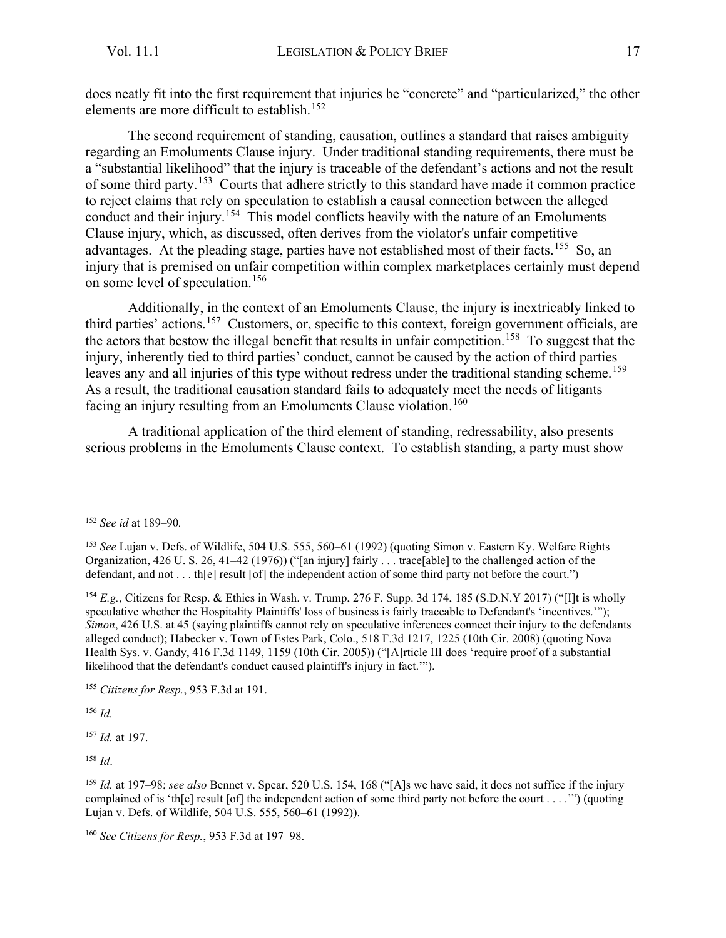does neatly fit into the first requirement that injuries be "concrete" and "particularized," the other elements are more difficult to establish.<sup>[152](#page-17-0)</sup>

The second requirement of standing, causation, outlines a standard that raises ambiguity regarding an Emoluments Clause injury. Under traditional standing requirements, there must be a "substantial likelihood" that the injury is traceable of the defendant's actions and not the result of some third party.<sup>[153](#page-17-1)</sup> Courts that adhere strictly to this standard have made it common practice to reject claims that rely on speculation to establish a causal connection between the alleged conduct and their injury.<sup>[154](#page-17-2)</sup> This model conflicts heavily with the nature of an Emoluments Clause injury, which, as discussed, often derives from the violator's unfair competitive advantages. At the pleading stage, parties have not established most of their facts.<sup>[155](#page-17-3)</sup> So, an injury that is premised on unfair competition within complex marketplaces certainly must depend on some level of speculation.[156](#page-17-4)

Additionally, in the context of an Emoluments Clause, the injury is inextricably linked to third parties' actions.[157](#page-17-5) Customers, or, specific to this context, foreign government officials, are the actors that bestow the illegal benefit that results in unfair competition.<sup>[158](#page-17-6)</sup> To suggest that the injury, inherently tied to third parties' conduct, cannot be caused by the action of third parties leaves any and all injuries of this type without redress under the traditional standing scheme.<sup>[159](#page-17-7)</sup> As a result, the traditional causation standard fails to adequately meet the needs of litigants facing an injury resulting from an Emoluments Clause violation.<sup>[160](#page-17-8)</sup>

A traditional application of the third element of standing, redressability, also presents serious problems in the Emoluments Clause context. To establish standing, a party must show

<span id="page-17-4"></span><sup>156</sup> *Id.*

<span id="page-17-5"></span><sup>157</sup> *Id.* at 197.

<span id="page-17-0"></span><sup>152</sup> *See id* at 189–90*.*

<span id="page-17-1"></span><sup>153</sup> *See* Lujan v. Defs. of Wildlife, 504 U.S. 555, 560–61 (1992) (quoting Simon v. Eastern Ky. Welfare Rights Organization, 426 U. S. 26, 41–42 (1976)) ("[an injury] fairly . . . trace[able] to the challenged action of the defendant, and not . . . th[e] result [of] the independent action of some third party not before the court.")

<span id="page-17-2"></span><sup>154</sup> *E.g.*, Citizens for Resp. & Ethics in Wash. v. Trump, 276 F. Supp. 3d 174, 185 (S.D.N.Y 2017) ("[I]t is wholly speculative whether the Hospitality Plaintiffs' loss of business is fairly traceable to Defendant's 'incentives.'"); *Simon*, 426 U.S. at 45 (saying plaintiffs cannot rely on speculative inferences connect their injury to the defendants alleged conduct); Habecker v. Town of Estes Park, Colo., 518 F.3d 1217, 1225 (10th Cir. 2008) (quoting Nova Health Sys. v. Gandy, 416 F.3d 1149, 1159 (10th Cir. 2005)) ("[A]rticle III does 'require proof of a substantial likelihood that the defendant's conduct caused plaintiff's injury in fact.'").

<span id="page-17-3"></span><sup>155</sup> *Citizens for Resp.*, 953 F.3d at 191.

<span id="page-17-7"></span><span id="page-17-6"></span><sup>159</sup> *Id.* at 197–98; *see also* Bennet v. Spear, 520 U.S. 154, 168 ("[A]s we have said, it does not suffice if the injury complained of is 'th[e] result [of] the independent action of some third party not before the court . . . .'") (quoting Lujan v. Defs. of Wildlife, 504 U.S. 555, 560–61 (1992)).

<span id="page-17-8"></span><sup>160</sup> *See Citizens for Resp.*, 953 F.3d at 197–98.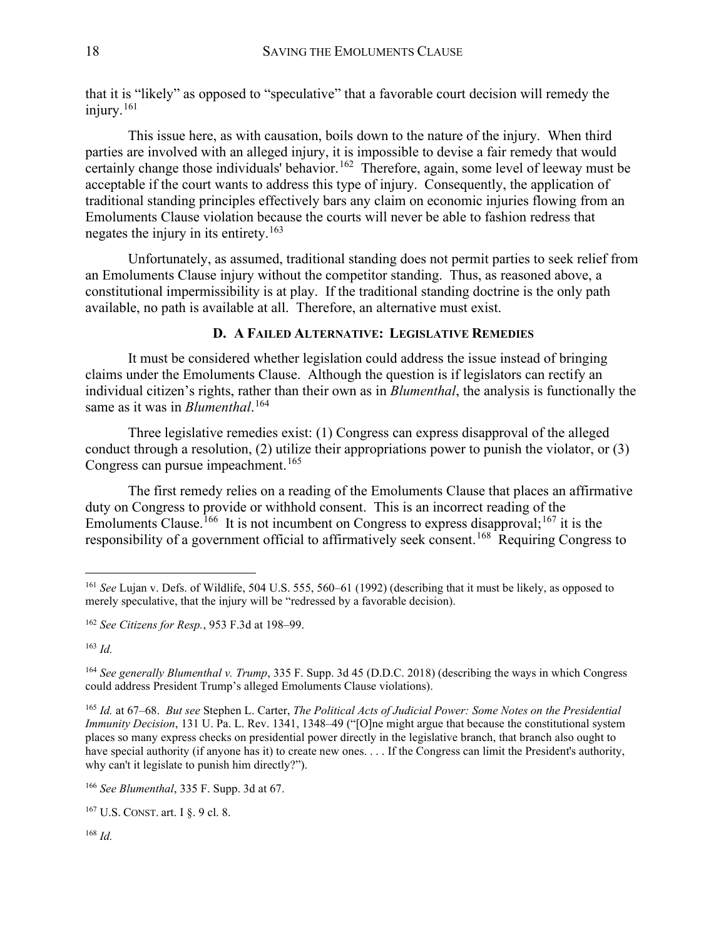that it is "likely" as opposed to "speculative" that a favorable court decision will remedy the injury.[161](#page-18-1)

This issue here, as with causation, boils down to the nature of the injury. When third parties are involved with an alleged injury, it is impossible to devise a fair remedy that would certainly change those individuals' behavior.<sup>162</sup> Therefore, again, some level of leeway must be acceptable if the court wants to address this type of injury. Consequently, the application of traditional standing principles effectively bars any claim on economic injuries flowing from an Emoluments Clause violation because the courts will never be able to fashion redress that negates the injury in its entirety.[163](#page-18-3)

Unfortunately, as assumed, traditional standing does not permit parties to seek relief from an Emoluments Clause injury without the competitor standing. Thus, as reasoned above, a constitutional impermissibility is at play. If the traditional standing doctrine is the only path available, no path is available at all. Therefore, an alternative must exist.

#### **D. A FAILED ALTERNATIVE: LEGISLATIVE REMEDIES**

<span id="page-18-0"></span>It must be considered whether legislation could address the issue instead of bringing claims under the Emoluments Clause. Although the question is if legislators can rectify an individual citizen's rights, rather than their own as in *Blumenthal*, the analysis is functionally the same as it was in *Blumenthal*. [164](#page-18-4)

Three legislative remedies exist: (1) Congress can express disapproval of the alleged conduct through a resolution, (2) utilize their appropriations power to punish the violator, or (3) Congress can pursue impeachment.<sup>[165](#page-18-5)</sup>

The first remedy relies on a reading of the Emoluments Clause that places an affirmative duty on Congress to provide or withhold consent. This is an incorrect reading of the Emoluments Clause.<sup>[166](#page-18-6)</sup> It is not incumbent on Congress to express disapproval;<sup>[167](#page-18-7)</sup> it is the responsibility of a government official to affirmatively seek consent.<sup>[168](#page-18-8)</sup> Requiring Congress to

<span id="page-18-3"></span><sup>163</sup> *Id.*

<span id="page-18-5"></span><sup>165</sup> *Id.* at 67–68. *But see* Stephen L. Carter, *The Political Acts of Judicial Power: Some Notes on the Presidential Immunity Decision*, 131 U. Pa. L. Rev. 1341, 1348–49 ("[O]ne might argue that because the constitutional system places so many express checks on presidential power directly in the legislative branch, that branch also ought to have special authority (if anyone has it) to create new ones. . . . If the Congress can limit the President's authority, why can't it legislate to punish him directly?").

<span id="page-18-8"></span><span id="page-18-7"></span><sup>167</sup> U.S. CONST. art. I §. 9 cl. 8.

<span id="page-18-1"></span><sup>161</sup> *See* Lujan v. Defs. of Wildlife, 504 U.S. 555, 560–61 (1992) (describing that it must be likely, as opposed to merely speculative, that the injury will be "redressed by a favorable decision).

<span id="page-18-2"></span><sup>162</sup> *See Citizens for Resp.*, 953 F.3d at 198–99.

<span id="page-18-4"></span><sup>164</sup> *See generally Blumenthal v. Trump*, 335 F. Supp. 3d 45 (D.D.C. 2018) (describing the ways in which Congress could address President Trump's alleged Emoluments Clause violations).

<span id="page-18-6"></span><sup>166</sup> *See Blumenthal*, 335 F. Supp. 3d at 67.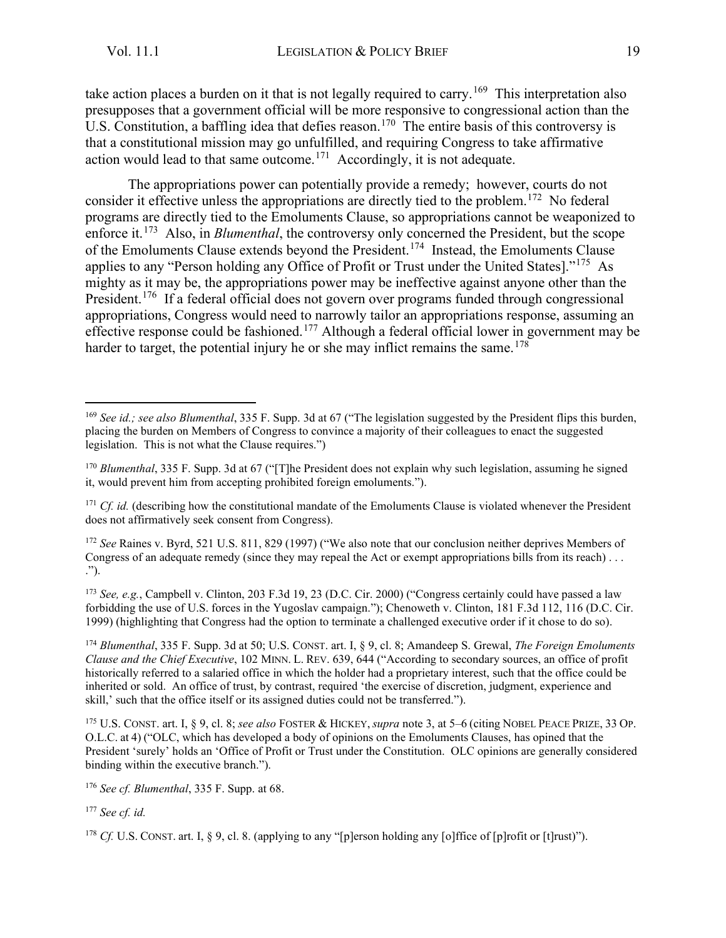take action places a burden on it that is not legally required to carry.<sup>[169](#page-19-0)</sup> This interpretation also presupposes that a government official will be more responsive to congressional action than the U.S. Constitution, a baffling idea that defies reason.<sup>[170](#page-19-1)</sup> The entire basis of this controversy is that a constitutional mission may go unfulfilled, and requiring Congress to take affirmative action would lead to that same outcome.<sup>[171](#page-19-2)</sup> Accordingly, it is not adequate.

The appropriations power can potentially provide a remedy; however, courts do not consider it effective unless the appropriations are directly tied to the problem.<sup>[172](#page-19-3)</sup> No federal programs are directly tied to the Emoluments Clause, so appropriations cannot be weaponized to enforce it.<sup>[173](#page-19-4)</sup> Also, in *Blumenthal*, the controversy only concerned the President, but the scope of the Emoluments Clause extends beyond the President.<sup>[174](#page-19-5)</sup> Instead, the Emoluments Clause applies to any "Person holding any Office of Profit or Trust under the United States]."[175](#page-19-6) As mighty as it may be, the appropriations power may be ineffective against anyone other than the President.<sup>[176](#page-19-7)</sup> If a federal official does not govern over programs funded through congressional appropriations, Congress would need to narrowly tailor an appropriations response, assuming an effective response could be fashioned.<sup>[177](#page-19-8)</sup> Although a federal official lower in government may be harder to target, the potential injury he or she may inflict remains the same.<sup>[178](#page-19-9)</sup>

<span id="page-19-3"></span><sup>172</sup> *See* Raines v. Byrd, 521 U.S. 811, 829 (1997) ("We also note that our conclusion neither deprives Members of Congress of an adequate remedy (since they may repeal the Act or exempt appropriations bills from its reach) . . . .").

<span id="page-19-4"></span><sup>173</sup> *See, e.g.*, Campbell v. Clinton, 203 F.3d 19, 23 (D.C. Cir. 2000) ("Congress certainly could have passed a law forbidding the use of U.S. forces in the Yugoslav campaign."); Chenoweth v. Clinton, 181 F.3d 112, 116 (D.C. Cir. 1999) (highlighting that Congress had the option to terminate a challenged executive order if it chose to do so).

<span id="page-19-5"></span><sup>174</sup> *Blumenthal*, 335 F. Supp. 3d at 50; U.S. CONST. art. I, § 9, cl. 8; Amandeep S. Grewal, *The Foreign Emoluments Clause and the Chief Executive*, 102 MINN. L. REV. 639, 644 ("According to secondary sources, an office of profit historically referred to a salaried office in which the holder had a proprietary interest, such that the office could be inherited or sold. An office of trust, by contrast, required 'the exercise of discretion, judgment, experience and skill,' such that the office itself or its assigned duties could not be transferred.").

<span id="page-19-6"></span><sup>175</sup> U.S. CONST. art. I, § 9, cl. 8; *see also* FOSTER & HICKEY, *supra* note 3, at 5–6 (citing NOBEL PEACE PRIZE, 33 OP. O.L.C. at 4) ("OLC, which has developed a body of opinions on the Emoluments Clauses, has opined that the President 'surely' holds an 'Office of Profit or Trust under the Constitution. OLC opinions are generally considered binding within the executive branch.").

<span id="page-19-7"></span><sup>176</sup> *See cf. Blumenthal*, 335 F. Supp. at 68.

<span id="page-19-8"></span><sup>177</sup> *See cf. id.*

<span id="page-19-0"></span><sup>169</sup> *See id.; see also Blumenthal*, 335 F. Supp. 3d at 67 ("The legislation suggested by the President flips this burden, placing the burden on Members of Congress to convince a majority of their colleagues to enact the suggested legislation. This is not what the Clause requires.")

<span id="page-19-1"></span><sup>170</sup> *Blumenthal*, 335 F. Supp. 3d at 67 ("[T]he President does not explain why such legislation, assuming he signed it, would prevent him from accepting prohibited foreign emoluments.").

<span id="page-19-2"></span><sup>&</sup>lt;sup>171</sup> *Cf. id.* (describing how the constitutional mandate of the Emoluments Clause is violated whenever the President does not affirmatively seek consent from Congress).

<span id="page-19-9"></span><sup>&</sup>lt;sup>178</sup> *Cf.* U.S. CONST. art. I,  $\S$  9, cl. 8. (applying to any "[p]erson holding any [o]ffice of [p]rofit or [t]rust)").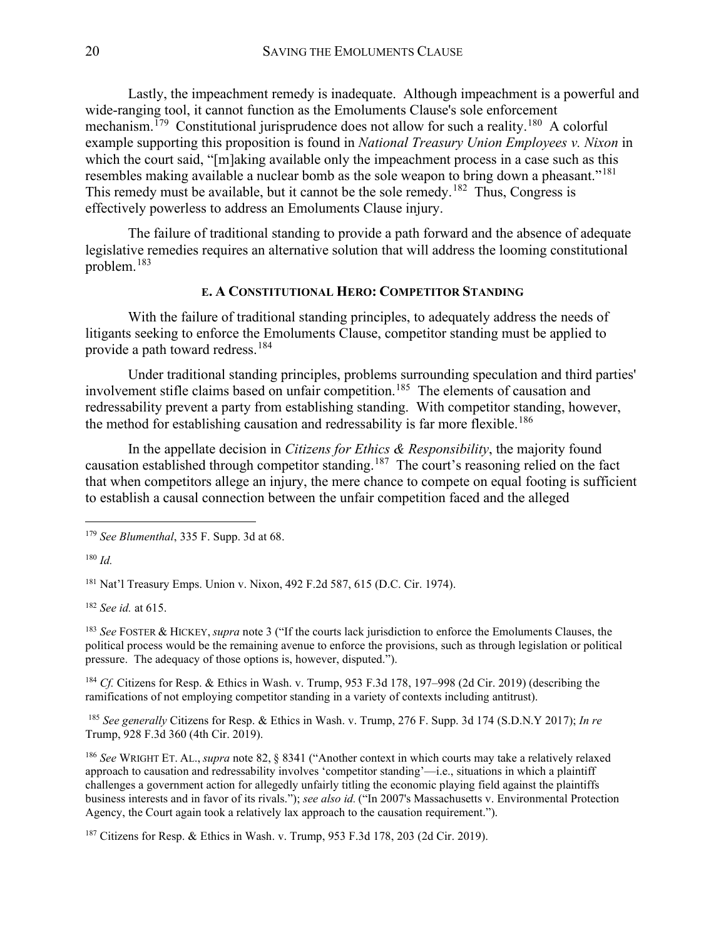Lastly, the impeachment remedy is inadequate. Although impeachment is a powerful and wide-ranging tool, it cannot function as the Emoluments Clause's sole enforcement mechanism.<sup>[179](#page-20-1)</sup> Constitutional jurisprudence does not allow for such a reality.<sup>[180](#page-20-2)</sup> A colorful example supporting this proposition is found in *National Treasury Union Employees v. Nixon* in which the court said, "[m]aking available only the impeachment process in a case such as this resembles making available a nuclear bomb as the sole weapon to bring down a pheasant."<sup>[181](#page-20-3)</sup> This remedy must be available, but it cannot be the sole remedy.<sup>[182](#page-20-4)</sup> Thus, Congress is effectively powerless to address an Emoluments Clause injury.

The failure of traditional standing to provide a path forward and the absence of adequate legislative remedies requires an alternative solution that will address the looming constitutional problem.<sup>[183](#page-20-5)</sup>

#### **E. A CONSTITUTIONAL HERO: COMPETITOR STANDING**

<span id="page-20-0"></span>With the failure of traditional standing principles, to adequately address the needs of litigants seeking to enforce the Emoluments Clause, competitor standing must be applied to provide a path toward redress.<sup>[184](#page-20-6)</sup>

Under traditional standing principles, problems surrounding speculation and third parties' involvement stifle claims based on unfair competition.<sup>[185](#page-20-7)</sup> The elements of causation and redressability prevent a party from establishing standing. With competitor standing, however, the method for establishing causation and redressability is far more flexible.<sup>[186](#page-20-8)</sup>

In the appellate decision in *Citizens for Ethics & Responsibility*, the majority found causation established through competitor standing.[187](#page-20-9) The court's reasoning relied on the fact that when competitors allege an injury, the mere chance to compete on equal footing is sufficient to establish a causal connection between the unfair competition faced and the alleged

<span id="page-20-3"></span><sup>181</sup> Nat'l Treasury Emps. Union v. Nixon, 492 F.2d 587, 615 (D.C. Cir. 1974).

<span id="page-20-4"></span><sup>182</sup> *See id.* at 615.

<span id="page-20-5"></span><sup>183</sup> *See* FOSTER & HICKEY, *supra* note [3](#page-2-6) ("If the courts lack jurisdiction to enforce the Emoluments Clauses, the political process would be the remaining avenue to enforce the provisions, such as through legislation or political pressure. The adequacy of those options is, however, disputed.").

<span id="page-20-6"></span><sup>184</sup> *Cf.* Citizens for Resp. & Ethics in Wash. v. Trump, 953 F.3d 178, 197–998 (2d Cir. 2019) (describing the ramifications of not employing competitor standing in a variety of contexts including antitrust).

<span id="page-20-7"></span><sup>185</sup> *See generally* Citizens for Resp. & Ethics in Wash. v. Trump, 276 F. Supp. 3d 174 (S.D.N.Y 2017); *In re*  Trump, 928 F.3d 360 (4th Cir. 2019).

<span id="page-20-8"></span><sup>186</sup> *See* WRIGHT ET. AL., *supra* note 82, § 8341 ("Another context in which courts may take a relatively relaxed approach to causation and redressability involves 'competitor standing'—i.e., situations in which a plaintiff challenges a government action for allegedly unfairly titling the economic playing field against the plaintiffs business interests and in favor of its rivals."); *see also id.* ("In 2007's Massachusetts v. Environmental Protection Agency, the Court again took a relatively lax approach to the causation requirement.").

<span id="page-20-9"></span> $187$  Citizens for Resp. & Ethics in Wash. v. Trump, 953 F.3d 178, 203 (2d Cir. 2019).

<span id="page-20-1"></span><sup>179</sup> *See Blumenthal*, 335 F. Supp. 3d at 68.

<span id="page-20-2"></span><sup>180</sup> *Id.*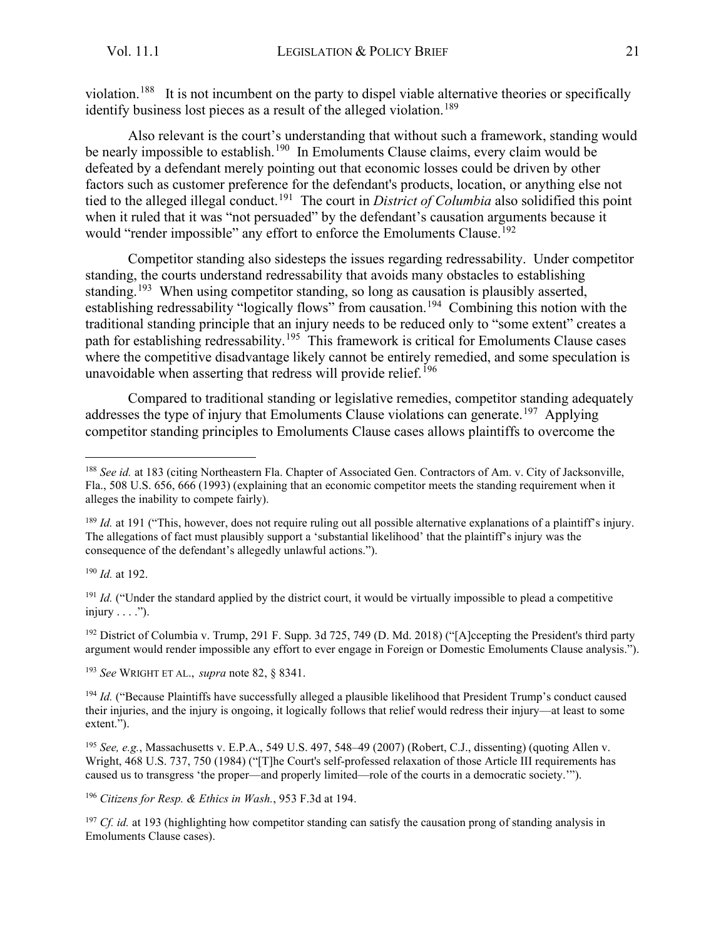violation.<sup>[188](#page-21-0)</sup> It is not incumbent on the party to dispel viable alternative theories or specifically identify business lost pieces as a result of the alleged violation.<sup>[189](#page-21-1)</sup>

Also relevant is the court's understanding that without such a framework, standing would be nearly impossible to establish.<sup>[190](#page-21-2)</sup> In Emoluments Clause claims, every claim would be defeated by a defendant merely pointing out that economic losses could be driven by other factors such as customer preference for the defendant's products, location, or anything else not tied to the alleged illegal conduct.[191](#page-21-3) The court in *District of Columbia* also solidified this point when it ruled that it was "not persuaded" by the defendant's causation arguments because it would "render impossible" any effort to enforce the Emoluments Clause.<sup>[192](#page-21-4)</sup>

Competitor standing also sidesteps the issues regarding redressability. Under competitor standing, the courts understand redressability that avoids many obstacles to establishing standing.<sup>[193](#page-21-5)</sup> When using competitor standing, so long as causation is plausibly asserted, establishing redressability "logically flows" from causation.<sup>[194](#page-21-6)</sup> Combining this notion with the traditional standing principle that an injury needs to be reduced only to "some extent" creates a path for establishing redressability.<sup>[195](#page-21-7)</sup> This framework is critical for Emoluments Clause cases where the competitive disadvantage likely cannot be entirely remedied, and some speculation is unavoidable when asserting that redress will provide relief.<sup>[196](#page-21-8)</sup>

Compared to traditional standing or legislative remedies, competitor standing adequately addresses the type of injury that Emoluments Clause violations can generate.<sup>[197](#page-21-9)</sup> Applying competitor standing principles to Emoluments Clause cases allows plaintiffs to overcome the

<span id="page-21-2"></span><sup>190</sup> *Id.* at 192.

<span id="page-21-3"></span><sup>191</sup> *Id.* ("Under the standard applied by the district court, it would be virtually impossible to plead a competitive injury . . . .").

<span id="page-21-4"></span><sup>192</sup> District of Columbia v. Trump, 291 F. Supp. 3d 725, 749 (D. Md. 2018) ("[A]ccepting the President's third party argument would render impossible any effort to ever engage in Foreign or Domestic Emoluments Clause analysis.").

<span id="page-21-5"></span><sup>193</sup> *See* WRIGHT ET AL., *supra* note 82, § 8341.

<span id="page-21-6"></span><sup>194</sup> *Id.* ("Because Plaintiffs have successfully alleged a plausible likelihood that President Trump's conduct caused their injuries, and the injury is ongoing, it logically follows that relief would redress their injury—at least to some extent.").

<span id="page-21-7"></span><sup>195</sup> *See, e.g.*, Massachusetts v. E.P.A., 549 U.S. 497, 548–49 (2007) (Robert, C.J., dissenting) (quoting Allen v. Wright, 468 U.S. 737, 750 (1984) ("[T]he Court's self-professed relaxation of those Article III requirements has caused us to transgress 'the proper—and properly limited—role of the courts in a democratic society.'").

<span id="page-21-8"></span><sup>196</sup> *Citizens for Resp. & Ethics in Wash.*, 953 F.3d at 194.

<span id="page-21-9"></span><sup>197</sup> *Cf. id.* at 193 (highlighting how competitor standing can satisfy the causation prong of standing analysis in Emoluments Clause cases).

<span id="page-21-0"></span><sup>&</sup>lt;sup>188</sup> *See id.* at 183 (citing Northeastern Fla. Chapter of Associated Gen. Contractors of Am. v. City of Jacksonville, Fla., 508 U.S. 656, 666 (1993) (explaining that an economic competitor meets the standing requirement when it alleges the inability to compete fairly).

<span id="page-21-1"></span><sup>&</sup>lt;sup>189</sup> *Id.* at 191 ("This, however, does not require ruling out all possible alternative explanations of a plaintiff's injury. The allegations of fact must plausibly support a 'substantial likelihood' that the plaintiff's injury was the consequence of the defendant's allegedly unlawful actions.").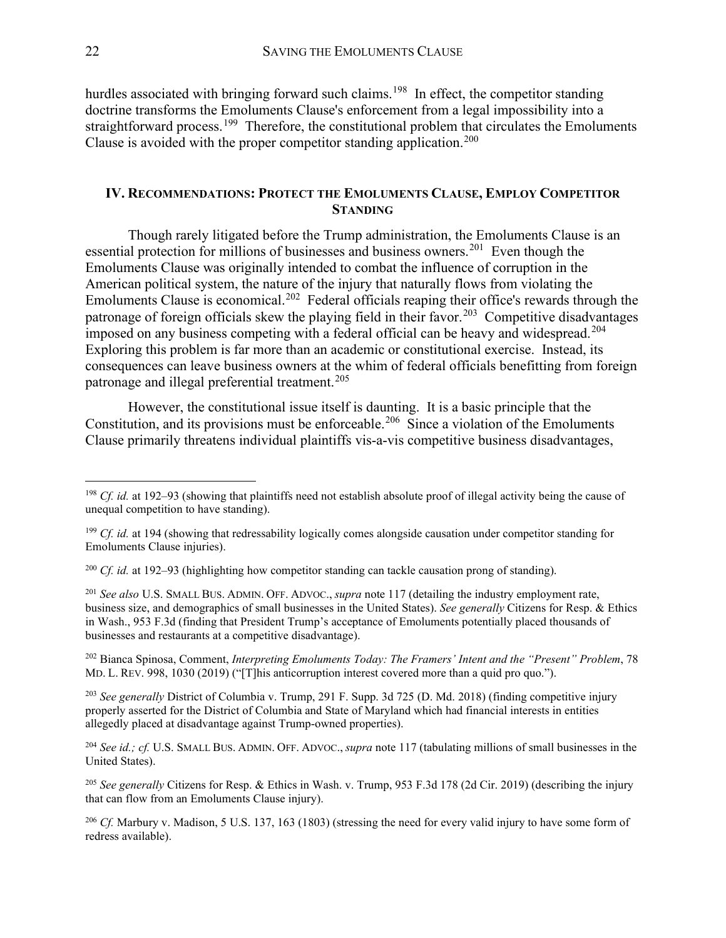hurdles associated with bringing forward such claims.<sup>198</sup> In effect, the competitor standing doctrine transforms the Emoluments Clause's enforcement from a legal impossibility into a straightforward process.<sup>199</sup> Therefore, the constitutional problem that circulates the Emoluments Clause is avoided with the proper competitor standing application.<sup>[200](#page-22-3)</sup>

#### <span id="page-22-0"></span>**IV. RECOMMENDATIONS: PROTECT THE EMOLUMENTS CLAUSE, EMPLOY COMPETITOR STANDING**

Though rarely litigated before the Trump administration, the Emoluments Clause is an essential protection for millions of businesses and business owners.<sup>[201](#page-22-4)</sup> Even though the Emoluments Clause was originally intended to combat the influence of corruption in the American political system, the nature of the injury that naturally flows from violating the Emoluments Clause is economical.<sup>[202](#page-22-5)</sup> Federal officials reaping their office's rewards through the patronage of foreign officials skew the playing field in their favor.<sup>203</sup> Competitive disadvantages imposed on any business competing with a federal official can be heavy and widespread.<sup>[204](#page-22-7)</sup> Exploring this problem is far more than an academic or constitutional exercise. Instead, its consequences can leave business owners at the whim of federal officials benefitting from foreign patronage and illegal preferential treatment.<sup>[205](#page-22-8)</sup>

However, the constitutional issue itself is daunting. It is a basic principle that the Constitution, and its provisions must be enforceable.<sup>[206](#page-22-9)</sup> Since a violation of the Emoluments Clause primarily threatens individual plaintiffs vis-a-vis competitive business disadvantages,

<span id="page-22-5"></span><sup>202</sup> Bianca Spinosa, Comment, *Interpreting Emoluments Today: The Framers' Intent and the "Present" Problem*, 78 MD. L. REV. 998, 1030 (2019) ("[T]his anticorruption interest covered more than a quid pro quo.").

<span id="page-22-6"></span><sup>203</sup> *See generally* District of Columbia v. Trump, 291 F. Supp. 3d 725 (D. Md. 2018) (finding competitive injury properly asserted for the District of Columbia and State of Maryland which had financial interests in entities allegedly placed at disadvantage against Trump-owned properties).

<span id="page-22-7"></span><sup>204</sup> *See id.; cf.* U.S. SMALL BUS. ADMIN. OFF. ADVOC., *supra* note 117 (tabulating millions of small businesses in the United States).

<span id="page-22-8"></span><sup>205</sup> *See generally* Citizens for Resp. & Ethics in Wash. v. Trump, 953 F.3d 178 (2d Cir. 2019) (describing the injury that can flow from an Emoluments Clause injury).

<span id="page-22-9"></span><sup>206</sup> *Cf.* Marbury v. Madison, 5 U.S. 137, 163 (1803) (stressing the need for every valid injury to have some form of redress available).

<span id="page-22-1"></span><sup>&</sup>lt;sup>198</sup> *Cf. id.* at 192–93 (showing that plaintiffs need not establish absolute proof of illegal activity being the cause of unequal competition to have standing).

<span id="page-22-2"></span><sup>&</sup>lt;sup>199</sup> *Cf. id.* at 194 (showing that redressability logically comes alongside causation under competitor standing for Emoluments Clause injuries).

<span id="page-22-3"></span><sup>200</sup> *Cf. id.* at 192–93 (highlighting how competitor standing can tackle causation prong of standing).

<span id="page-22-4"></span><sup>201</sup> *See also* U.S. SMALL BUS. ADMIN. OFF. ADVOC., *supra* note 117 (detailing the industry employment rate, business size, and demographics of small businesses in the United States). *See generally* Citizens for Resp. & Ethics in Wash., 953 F.3d (finding that President Trump's acceptance of Emoluments potentially placed thousands of businesses and restaurants at a competitive disadvantage).